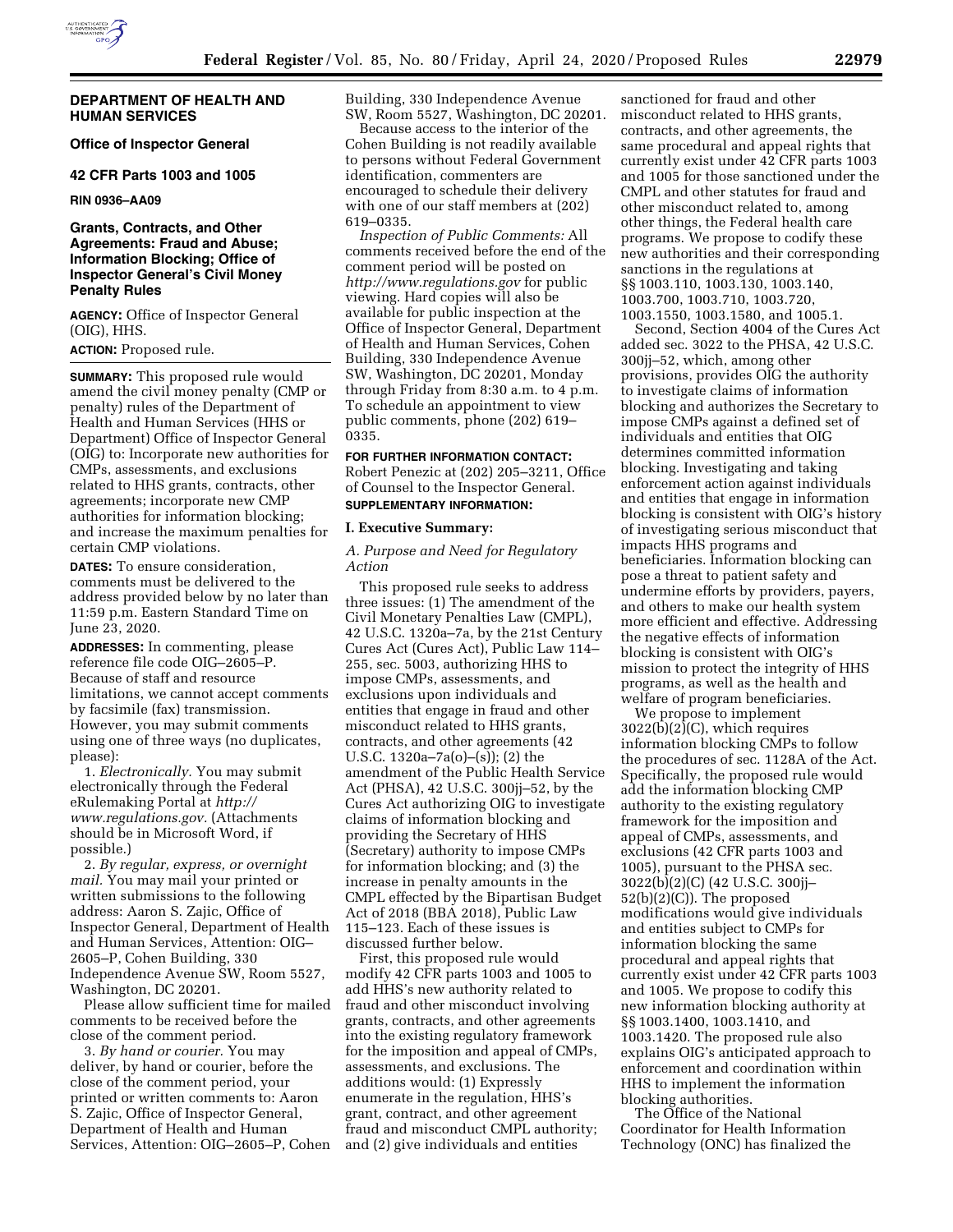

## **DEPARTMENT OF HEALTH AND HUMAN SERVICES**

**Office of Inspector General** 

#### **42 CFR Parts 1003 and 1005**

**RIN 0936–AA09** 

# **Grants, Contracts, and Other Agreements: Fraud and Abuse; Information Blocking; Office of Inspector General's Civil Money Penalty Rules**

**AGENCY:** Office of Inspector General (OIG), HHS.

**ACTION:** Proposed rule.

**SUMMARY:** This proposed rule would amend the civil money penalty (CMP or penalty) rules of the Department of Health and Human Services (HHS or Department) Office of Inspector General (OIG) to: Incorporate new authorities for CMPs, assessments, and exclusions related to HHS grants, contracts, other agreements; incorporate new CMP authorities for information blocking; and increase the maximum penalties for certain CMP violations.

**DATES:** To ensure consideration, comments must be delivered to the address provided below by no later than 11:59 p.m. Eastern Standard Time on June 23, 2020.

**ADDRESSES:** In commenting, please reference file code OIG–2605–P. Because of staff and resource limitations, we cannot accept comments by facsimile (fax) transmission. However, you may submit comments using one of three ways (no duplicates, please):

1. *Electronically.* You may submit electronically through the Federal eRulemaking Portal at *[http://](http://www.regulations.gov) [www.regulations.gov.](http://www.regulations.gov)* (Attachments should be in Microsoft Word, if possible.)

2. *By regular, express, or overnight mail.* You may mail your printed or written submissions to the following address: Aaron S. Zajic, Office of Inspector General, Department of Health and Human Services, Attention: OIG– 2605–P, Cohen Building, 330 Independence Avenue SW, Room 5527, Washington, DC 20201.

Please allow sufficient time for mailed comments to be received before the close of the comment period.

3. *By hand or courier.* You may deliver, by hand or courier, before the close of the comment period, your printed or written comments to: Aaron S. Zajic, Office of Inspector General, Department of Health and Human Services, Attention: OIG–2605–P, Cohen Building, 330 Independence Avenue SW, Room 5527, Washington, DC 20201.

Because access to the interior of the Cohen Building is not readily available to persons without Federal Government identification, commenters are encouraged to schedule their delivery with one of our staff members at (202) 619–0335.

*Inspection of Public Comments:* All comments received before the end of the comment period will be posted on *<http://www.regulations.gov>* for public viewing. Hard copies will also be available for public inspection at the Office of Inspector General, Department of Health and Human Services, Cohen Building, 330 Independence Avenue SW, Washington, DC 20201, Monday through Friday from 8:30 a.m. to 4 p.m. To schedule an appointment to view public comments, phone (202) 619– 0335.

#### **FOR FURTHER INFORMATION CONTACT:**

Robert Penezic at (202) 205–3211, Office of Counsel to the Inspector General. **SUPPLEMENTARY INFORMATION:** 

#### **I. Executive Summary:**

*A. Purpose and Need for Regulatory Action* 

This proposed rule seeks to address three issues: (1) The amendment of the Civil Monetary Penalties Law (CMPL), 42 U.S.C. 1320a–7a, by the 21st Century Cures Act (Cures Act), Public Law 114– 255, sec. 5003, authorizing HHS to impose CMPs, assessments, and exclusions upon individuals and entities that engage in fraud and other misconduct related to HHS grants, contracts, and other agreements (42 U.S.C. 1320a–7a(o)–(s)); (2) the amendment of the Public Health Service Act (PHSA), 42 U.S.C. 300jj–52, by the Cures Act authorizing OIG to investigate claims of information blocking and providing the Secretary of HHS (Secretary) authority to impose CMPs for information blocking; and (3) the increase in penalty amounts in the CMPL effected by the Bipartisan Budget Act of 2018 (BBA 2018), Public Law 115–123. Each of these issues is discussed further below.

First, this proposed rule would modify 42 CFR parts 1003 and 1005 to add HHS's new authority related to fraud and other misconduct involving grants, contracts, and other agreements into the existing regulatory framework for the imposition and appeal of CMPs, assessments, and exclusions. The additions would: (1) Expressly enumerate in the regulation, HHS's grant, contract, and other agreement fraud and misconduct CMPL authority; and (2) give individuals and entities

sanctioned for fraud and other misconduct related to HHS grants, contracts, and other agreements, the same procedural and appeal rights that currently exist under 42 CFR parts 1003 and 1005 for those sanctioned under the CMPL and other statutes for fraud and other misconduct related to, among other things, the Federal health care programs. We propose to codify these new authorities and their corresponding sanctions in the regulations at §§ 1003.110, 1003.130, 1003.140, 1003.700, 1003.710, 1003.720, 1003.1550, 1003.1580, and 1005.1.

Second, Section 4004 of the Cures Act added sec. 3022 to the PHSA, 42 U.S.C. 300jj–52, which, among other provisions, provides OIG the authority to investigate claims of information blocking and authorizes the Secretary to impose CMPs against a defined set of individuals and entities that OIG determines committed information blocking. Investigating and taking enforcement action against individuals and entities that engage in information blocking is consistent with OIG's history of investigating serious misconduct that impacts HHS programs and beneficiaries. Information blocking can pose a threat to patient safety and undermine efforts by providers, payers, and others to make our health system more efficient and effective. Addressing the negative effects of information blocking is consistent with OIG's mission to protect the integrity of HHS programs, as well as the health and welfare of program beneficiaries.

We propose to implement 3022(b)(2)(C), which requires information blocking CMPs to follow the procedures of sec. 1128A of the Act. Specifically, the proposed rule would add the information blocking CMP authority to the existing regulatory framework for the imposition and appeal of CMPs, assessments, and exclusions (42 CFR parts 1003 and 1005), pursuant to the PHSA sec. 3022(b)(2)(C) (42 U.S.C. 300jj–  $52(b)(2)(C)$ ). The proposed modifications would give individuals and entities subject to CMPs for information blocking the same procedural and appeal rights that currently exist under 42 CFR parts 1003 and 1005. We propose to codify this new information blocking authority at §§ 1003.1400, 1003.1410, and 1003.1420. The proposed rule also explains OIG's anticipated approach to enforcement and coordination within HHS to implement the information blocking authorities.

The Office of the National Coordinator for Health Information Technology (ONC) has finalized the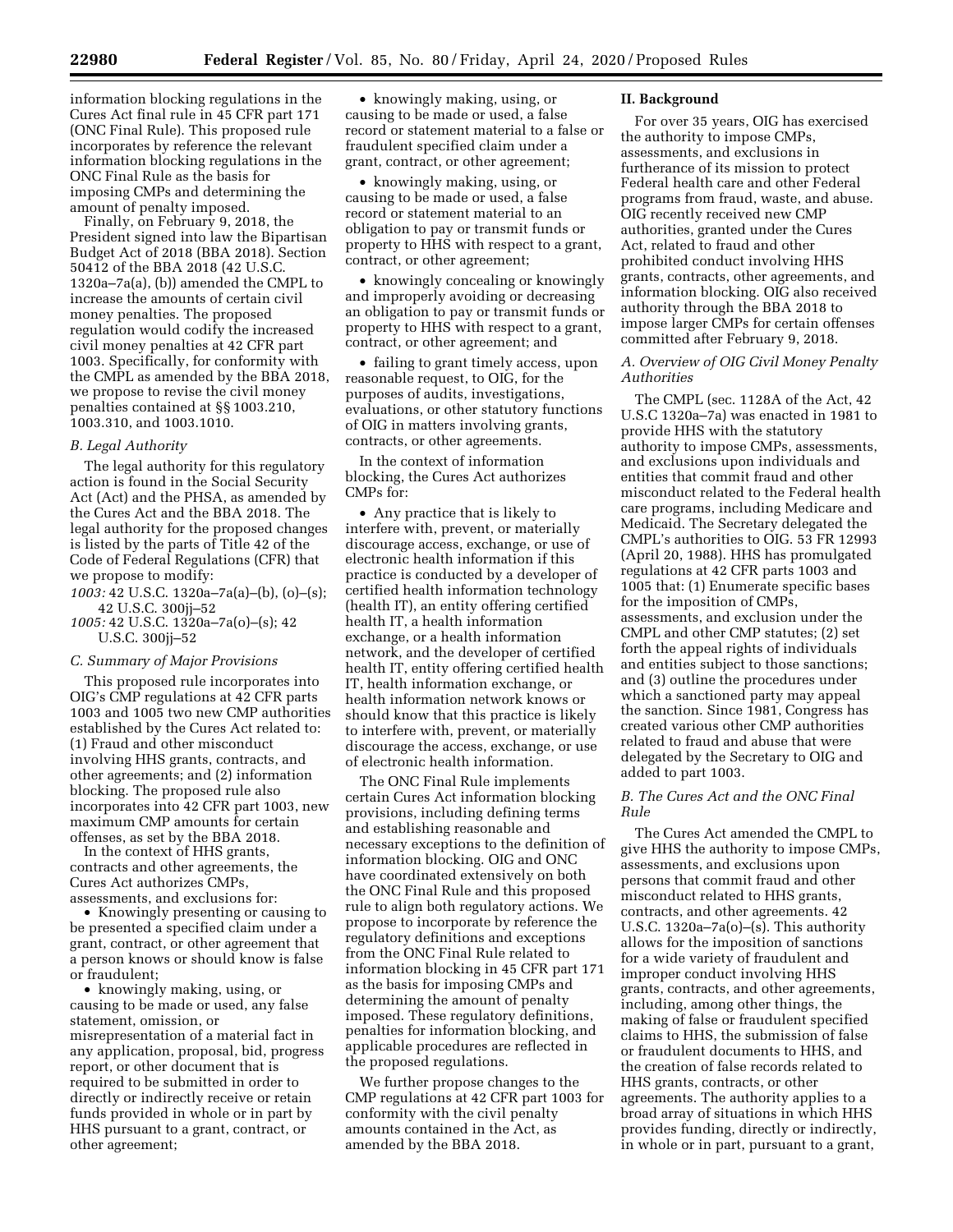information blocking regulations in the Cures Act final rule in 45 CFR part 171 (ONC Final Rule). This proposed rule incorporates by reference the relevant information blocking regulations in the ONC Final Rule as the basis for imposing CMPs and determining the amount of penalty imposed.

Finally, on February 9, 2018, the President signed into law the Bipartisan Budget Act of 2018 (BBA 2018). Section 50412 of the BBA 2018 (42 U.S.C. 1320a–7a(a), (b)) amended the CMPL to increase the amounts of certain civil money penalties. The proposed regulation would codify the increased civil money penalties at 42 CFR part 1003. Specifically, for conformity with the CMPL as amended by the BBA 2018, we propose to revise the civil money penalties contained at §§ 1003.210, 1003.310, and 1003.1010.

#### *B. Legal Authority*

The legal authority for this regulatory action is found in the Social Security Act (Act) and the PHSA, as amended by the Cures Act and the BBA 2018. The legal authority for the proposed changes is listed by the parts of Title 42 of the Code of Federal Regulations (CFR) that we propose to modify:

*1003:* 42 U.S.C. 1320a–7a(a)–(b), (o)–(s); 42 U.S.C. 300jj–52

*1005:* 42 U.S.C. 1320a–7a(o)–(s); 42 U.S.C. 300jj–52

### *C. Summary of Major Provisions*

This proposed rule incorporates into OIG's CMP regulations at 42 CFR parts 1003 and 1005 two new CMP authorities established by the Cures Act related to: (1) Fraud and other misconduct involving HHS grants, contracts, and other agreements; and (2) information blocking. The proposed rule also incorporates into 42 CFR part 1003, new maximum CMP amounts for certain offenses, as set by the BBA 2018.

In the context of HHS grants, contracts and other agreements, the Cures Act authorizes CMPs, assessments, and exclusions for:

• Knowingly presenting or causing to be presented a specified claim under a grant, contract, or other agreement that a person knows or should know is false or fraudulent;

• knowingly making, using, or causing to be made or used, any false statement, omission, or misrepresentation of a material fact in any application, proposal, bid, progress report, or other document that is required to be submitted in order to directly or indirectly receive or retain funds provided in whole or in part by HHS pursuant to a grant, contract, or other agreement;

• knowingly making, using, or causing to be made or used, a false record or statement material to a false or fraudulent specified claim under a grant, contract, or other agreement;

• knowingly making, using, or causing to be made or used, a false record or statement material to an obligation to pay or transmit funds or property to HHS with respect to a grant, contract, or other agreement;

• knowingly concealing or knowingly and improperly avoiding or decreasing an obligation to pay or transmit funds or property to HHS with respect to a grant, contract, or other agreement; and

• failing to grant timely access, upon reasonable request, to OIG, for the purposes of audits, investigations, evaluations, or other statutory functions of OIG in matters involving grants, contracts, or other agreements.

In the context of information blocking, the Cures Act authorizes CMPs for:

• Any practice that is likely to interfere with, prevent, or materially discourage access, exchange, or use of electronic health information if this practice is conducted by a developer of certified health information technology (health IT), an entity offering certified health IT, a health information exchange, or a health information network, and the developer of certified health IT, entity offering certified health IT, health information exchange, or health information network knows or should know that this practice is likely to interfere with, prevent, or materially discourage the access, exchange, or use of electronic health information.

The ONC Final Rule implements certain Cures Act information blocking provisions, including defining terms and establishing reasonable and necessary exceptions to the definition of information blocking. OIG and ONC have coordinated extensively on both the ONC Final Rule and this proposed rule to align both regulatory actions. We propose to incorporate by reference the regulatory definitions and exceptions from the ONC Final Rule related to information blocking in 45 CFR part 171 as the basis for imposing CMPs and determining the amount of penalty imposed. These regulatory definitions, penalties for information blocking, and applicable procedures are reflected in the proposed regulations.

We further propose changes to the CMP regulations at 42 CFR part 1003 for conformity with the civil penalty amounts contained in the Act, as amended by the BBA 2018.

## **II. Background**

For over 35 years, OIG has exercised the authority to impose CMPs, assessments, and exclusions in furtherance of its mission to protect Federal health care and other Federal programs from fraud, waste, and abuse. OIG recently received new CMP authorities, granted under the Cures Act, related to fraud and other prohibited conduct involving HHS grants, contracts, other agreements, and information blocking. OIG also received authority through the BBA 2018 to impose larger CMPs for certain offenses committed after February 9, 2018.

# *A. Overview of OIG Civil Money Penalty Authorities*

The CMPL (sec. 1128A of the Act, 42 U.S.C 1320a–7a) was enacted in 1981 to provide HHS with the statutory authority to impose CMPs, assessments, and exclusions upon individuals and entities that commit fraud and other misconduct related to the Federal health care programs, including Medicare and Medicaid. The Secretary delegated the CMPL's authorities to OIG. 53 FR 12993 (April 20, 1988). HHS has promulgated regulations at 42 CFR parts 1003 and 1005 that: (1) Enumerate specific bases for the imposition of CMPs, assessments, and exclusion under the CMPL and other CMP statutes; (2) set forth the appeal rights of individuals and entities subject to those sanctions; and (3) outline the procedures under which a sanctioned party may appeal the sanction. Since 1981, Congress has created various other CMP authorities related to fraud and abuse that were delegated by the Secretary to OIG and added to part 1003.

# *B. The Cures Act and the ONC Final Rule*

The Cures Act amended the CMPL to give HHS the authority to impose CMPs, assessments, and exclusions upon persons that commit fraud and other misconduct related to HHS grants, contracts, and other agreements. 42 U.S.C.  $1320a-7a(o)$ –(s). This authority allows for the imposition of sanctions for a wide variety of fraudulent and improper conduct involving HHS grants, contracts, and other agreements, including, among other things, the making of false or fraudulent specified claims to HHS, the submission of false or fraudulent documents to HHS, and the creation of false records related to HHS grants, contracts, or other agreements. The authority applies to a broad array of situations in which HHS provides funding, directly or indirectly, in whole or in part, pursuant to a grant,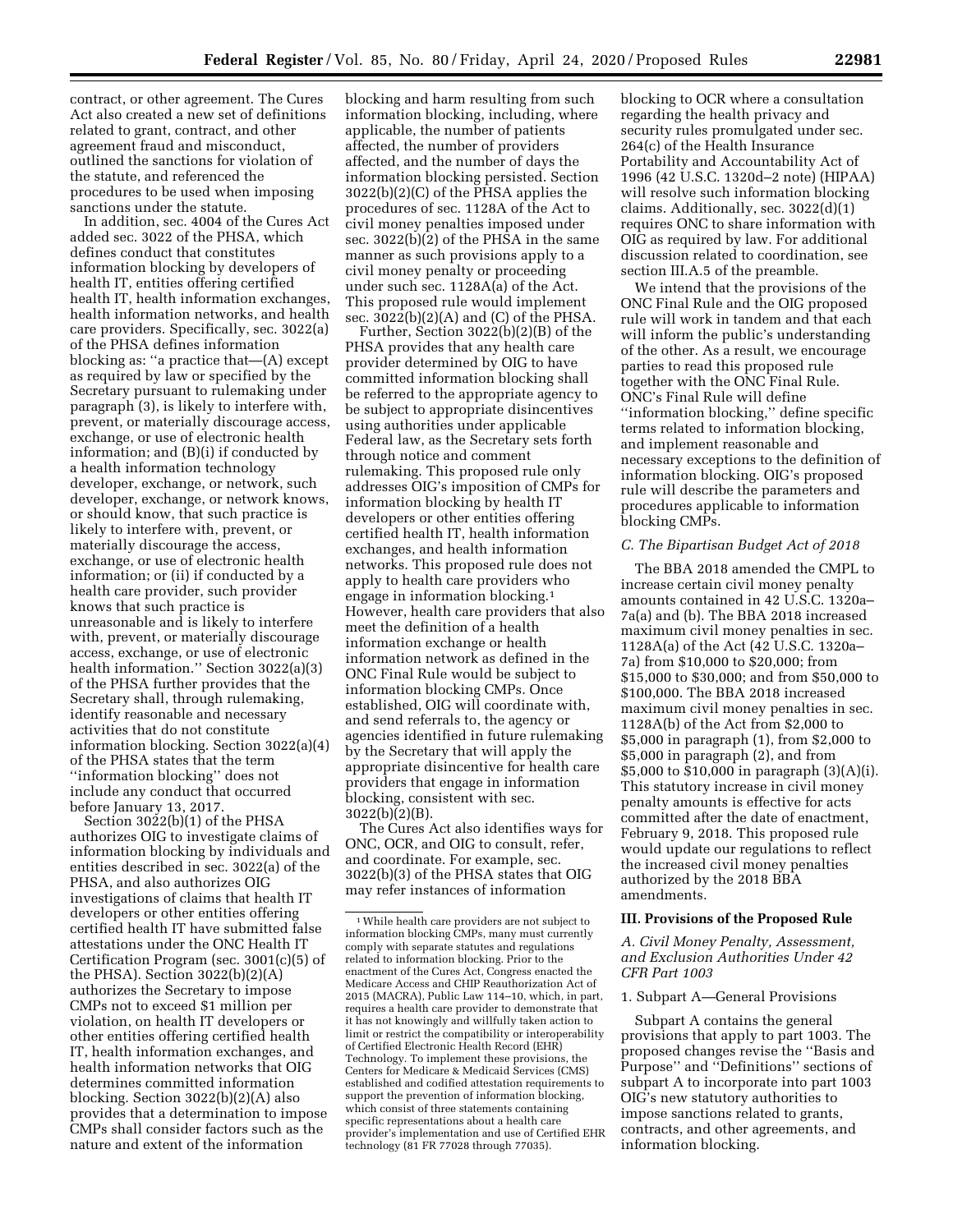contract, or other agreement. The Cures Act also created a new set of definitions related to grant, contract, and other agreement fraud and misconduct, outlined the sanctions for violation of the statute, and referenced the procedures to be used when imposing sanctions under the statute.

In addition, sec. 4004 of the Cures Act added sec. 3022 of the PHSA, which defines conduct that constitutes information blocking by developers of health IT, entities offering certified health IT, health information exchanges, health information networks, and health care providers. Specifically, sec. 3022(a) of the PHSA defines information blocking as: ''a practice that—(A) except as required by law or specified by the Secretary pursuant to rulemaking under paragraph (3), is likely to interfere with, prevent, or materially discourage access, exchange, or use of electronic health information; and (B)(i) if conducted by a health information technology developer, exchange, or network, such developer, exchange, or network knows, or should know, that such practice is likely to interfere with, prevent, or materially discourage the access, exchange, or use of electronic health information; or (ii) if conducted by a health care provider, such provider knows that such practice is unreasonable and is likely to interfere with, prevent, or materially discourage access, exchange, or use of electronic health information.'' Section 3022(a)(3) of the PHSA further provides that the Secretary shall, through rulemaking, identify reasonable and necessary activities that do not constitute information blocking. Section 3022(a)(4) of the PHSA states that the term ''information blocking'' does not include any conduct that occurred before January 13, 2017.

Section 3022(b)(1) of the PHSA authorizes OIG to investigate claims of information blocking by individuals and entities described in sec. 3022(a) of the PHSA, and also authorizes OIG investigations of claims that health IT developers or other entities offering certified health IT have submitted false attestations under the ONC Health IT Certification Program (sec. 3001(c)(5) of the PHSA). Section 3022(b)(2)(A) authorizes the Secretary to impose CMPs not to exceed \$1 million per violation, on health IT developers or other entities offering certified health IT, health information exchanges, and health information networks that OIG determines committed information blocking. Section 3022(b)(2)(A) also provides that a determination to impose CMPs shall consider factors such as the nature and extent of the information

blocking and harm resulting from such information blocking, including, where applicable, the number of patients affected, the number of providers affected, and the number of days the information blocking persisted. Section 3022(b)(2)(C) of the PHSA applies the procedures of sec. 1128A of the Act to civil money penalties imposed under sec. 3022(b)(2) of the PHSA in the same manner as such provisions apply to a civil money penalty or proceeding under such sec. 1128A(a) of the Act. This proposed rule would implement sec.  $3022(b)(2)(A)$  and  $(C)$  of the PHSA.

Further, Section 3022(b)(2)(B) of the PHSA provides that any health care provider determined by OIG to have committed information blocking shall be referred to the appropriate agency to be subject to appropriate disincentives using authorities under applicable Federal law, as the Secretary sets forth through notice and comment rulemaking. This proposed rule only addresses OIG's imposition of CMPs for information blocking by health IT developers or other entities offering certified health IT, health information exchanges, and health information networks. This proposed rule does not apply to health care providers who engage in information blocking.1 However, health care providers that also meet the definition of a health information exchange or health information network as defined in the ONC Final Rule would be subject to information blocking CMPs. Once established, OIG will coordinate with, and send referrals to, the agency or agencies identified in future rulemaking by the Secretary that will apply the appropriate disincentive for health care providers that engage in information blocking, consistent with sec. 3022(b)(2)(B).

The Cures Act also identifies ways for ONC, OCR, and OIG to consult, refer, and coordinate. For example, sec. 3022(b)(3) of the PHSA states that OIG may refer instances of information

blocking to OCR where a consultation regarding the health privacy and security rules promulgated under sec. 264(c) of the Health Insurance Portability and Accountability Act of 1996 (42 U.S.C. 1320d–2 note) (HIPAA) will resolve such information blocking claims. Additionally, sec. 3022(d)(1) requires ONC to share information with OIG as required by law. For additional discussion related to coordination, see section III.A.5 of the preamble.

We intend that the provisions of the ONC Final Rule and the OIG proposed rule will work in tandem and that each will inform the public's understanding of the other. As a result, we encourage parties to read this proposed rule together with the ONC Final Rule. ONC's Final Rule will define ''information blocking,'' define specific terms related to information blocking, and implement reasonable and necessary exceptions to the definition of information blocking. OIG's proposed rule will describe the parameters and procedures applicable to information blocking CMPs.

# *C. The Bipartisan Budget Act of 2018*

The BBA 2018 amended the CMPL to increase certain civil money penalty amounts contained in 42 U.S.C. 1320a– 7a(a) and (b). The BBA 2018 increased maximum civil money penalties in sec. 1128A(a) of the Act (42 U.S.C. 1320a– 7a) from \$10,000 to \$20,000; from \$15,000 to \$30,000; and from \$50,000 to \$100,000. The BBA 2018 increased maximum civil money penalties in sec. 1128A(b) of the Act from \$2,000 to \$5,000 in paragraph (1), from \$2,000 to \$5,000 in paragraph (2), and from \$5,000 to \$10,000 in paragraph (3)(A)(i). This statutory increase in civil money penalty amounts is effective for acts committed after the date of enactment, February 9, 2018. This proposed rule would update our regulations to reflect the increased civil money penalties authorized by the 2018 BBA amendments.

## **III. Provisions of the Proposed Rule**

*A. Civil Money Penalty, Assessment, and Exclusion Authorities Under 42 CFR Part 1003* 

#### 1. Subpart A—General Provisions

Subpart A contains the general provisions that apply to part 1003. The proposed changes revise the ''Basis and Purpose'' and ''Definitions'' sections of subpart A to incorporate into part 1003 OIG's new statutory authorities to impose sanctions related to grants, contracts, and other agreements, and information blocking.

 $\sqrt[11]{\text{While health care providers} }$  are not subject to information blocking CMPs, many must currently comply with separate statutes and regulations related to information blocking. Prior to the enactment of the Cures Act, Congress enacted the Medicare Access and CHIP Reauthorization Act of 2015 (MACRA), Public Law 114–10, which, in part, requires a health care provider to demonstrate that it has not knowingly and willfully taken action to limit or restrict the compatibility or interoperability of Certified Electronic Health Record (EHR) Technology. To implement these provisions, the Centers for Medicare & Medicaid Services (CMS) established and codified attestation requirements to support the prevention of information blocking, which consist of three statements containing specific representations about a health care provider's implementation and use of Certified EHR technology (81 FR 77028 through 77035).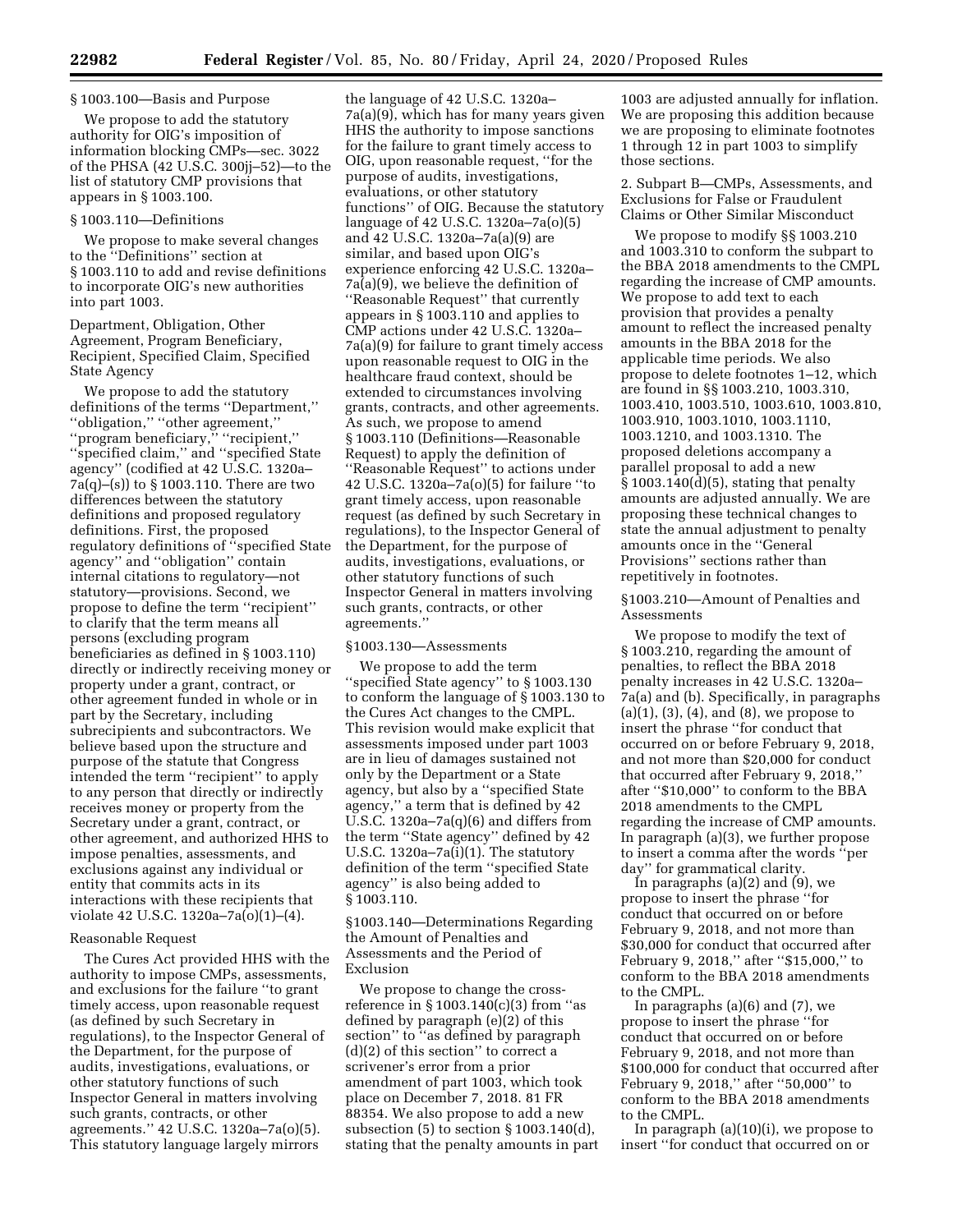# § 1003.100—Basis and Purpose

We propose to add the statutory authority for OIG's imposition of information blocking CMPs—sec. 3022 of the PHSA (42 U.S.C. 300jj–52)—to the list of statutory CMP provisions that appears in § 1003.100.

### § 1003.110—Definitions

We propose to make several changes to the ''Definitions'' section at § 1003.110 to add and revise definitions to incorporate OIG's new authorities into part 1003.

Department, Obligation, Other Agreement, Program Beneficiary, Recipient, Specified Claim, Specified State Agency

We propose to add the statutory definitions of the terms ''Department,'' ''obligation,'' ''other agreement,'' ''program beneficiary,'' ''recipient,'' ''specified claim,'' and ''specified State agency'' (codified at 42 U.S.C. 1320a– 7a(q)–(s)) to § 1003.110. There are two differences between the statutory definitions and proposed regulatory definitions. First, the proposed regulatory definitions of ''specified State agency'' and ''obligation'' contain internal citations to regulatory—not statutory—provisions. Second, we propose to define the term ''recipient'' to clarify that the term means all persons (excluding program beneficiaries as defined in § 1003.110) directly or indirectly receiving money or property under a grant, contract, or other agreement funded in whole or in part by the Secretary, including subrecipients and subcontractors. We believe based upon the structure and purpose of the statute that Congress intended the term ''recipient'' to apply to any person that directly or indirectly receives money or property from the Secretary under a grant, contract, or other agreement, and authorized HHS to impose penalties, assessments, and exclusions against any individual or entity that commits acts in its interactions with these recipients that violate 42 U.S.C. 1320a–7a(o)(1)–(4).

## Reasonable Request

The Cures Act provided HHS with the authority to impose CMPs, assessments, and exclusions for the failure ''to grant timely access, upon reasonable request (as defined by such Secretary in regulations), to the Inspector General of the Department, for the purpose of audits, investigations, evaluations, or other statutory functions of such Inspector General in matters involving such grants, contracts, or other agreements.'' 42 U.S.C. 1320a–7a(o)(5). This statutory language largely mirrors

the language of 42 U.S.C. 1320a– 7a(a)(9), which has for many years given HHS the authority to impose sanctions for the failure to grant timely access to OIG, upon reasonable request, ''for the purpose of audits, investigations, evaluations, or other statutory functions'' of OIG. Because the statutory language of 42 U.S.C. 1320a–7a(o)(5) and 42 U.S.C. 1320a–7a(a)(9) are similar, and based upon OIG's experience enforcing 42 U.S.C. 1320a– 7a(a)(9), we believe the definition of ''Reasonable Request'' that currently appears in § 1003.110 and applies to CMP actions under 42 U.S.C. 1320a– 7a(a)(9) for failure to grant timely access upon reasonable request to OIG in the healthcare fraud context, should be extended to circumstances involving grants, contracts, and other agreements. As such, we propose to amend § 1003.110 (Definitions—Reasonable Request) to apply the definition of ''Reasonable Request'' to actions under 42 U.S.C. 1320a–7a(o)(5) for failure ''to grant timely access, upon reasonable request (as defined by such Secretary in regulations), to the Inspector General of the Department, for the purpose of audits, investigations, evaluations, or other statutory functions of such Inspector General in matters involving such grants, contracts, or other agreements.''

#### §1003.130—Assessments

We propose to add the term ''specified State agency'' to § 1003.130 to conform the language of § 1003.130 to the Cures Act changes to the CMPL. This revision would make explicit that assessments imposed under part 1003 are in lieu of damages sustained not only by the Department or a State agency, but also by a ''specified State agency,'' a term that is defined by 42 U.S.C.  $1320a-7a(q)(6)$  and differs from the term ''State agency'' defined by 42 U.S.C. 1320a–7a(i)(1). The statutory definition of the term ''specified State agency'' is also being added to § 1003.110.

§1003.140—Determinations Regarding the Amount of Penalties and Assessments and the Period of Exclusion

We propose to change the crossreference in  $\S 1003.140(c)(3)$  from "as defined by paragraph (e)(2) of this section'' to ''as defined by paragraph (d)(2) of this section'' to correct a scrivener's error from a prior amendment of part 1003, which took place on December 7, 2018. 81 FR 88354. We also propose to add a new subsection (5) to section § 1003.140(d), stating that the penalty amounts in part

1003 are adjusted annually for inflation. We are proposing this addition because we are proposing to eliminate footnotes 1 through 12 in part 1003 to simplify those sections.

2. Subpart B—CMPs, Assessments, and Exclusions for False or Fraudulent Claims or Other Similar Misconduct

We propose to modify §§ 1003.210 and 1003.310 to conform the subpart to the BBA 2018 amendments to the CMPL regarding the increase of CMP amounts. We propose to add text to each provision that provides a penalty amount to reflect the increased penalty amounts in the BBA 2018 for the applicable time periods. We also propose to delete footnotes 1–12, which are found in §§ 1003.210, 1003.310, 1003.410, 1003.510, 1003.610, 1003.810, 1003.910, 1003.1010, 1003.1110, 1003.1210, and 1003.1310. The proposed deletions accompany a parallel proposal to add a new § 1003.140(d)(5), stating that penalty amounts are adjusted annually. We are proposing these technical changes to state the annual adjustment to penalty amounts once in the ''General Provisions'' sections rather than repetitively in footnotes.

§1003.210—Amount of Penalties and Assessments

We propose to modify the text of § 1003.210, regarding the amount of penalties, to reflect the BBA 2018 penalty increases in 42 U.S.C. 1320a– 7a(a) and (b). Specifically, in paragraphs (a)(1), (3), (4), and (8), we propose to insert the phrase ''for conduct that occurred on or before February 9, 2018, and not more than \$20,000 for conduct that occurred after February 9, 2018,'' after ''\$10,000'' to conform to the BBA 2018 amendments to the CMPL regarding the increase of CMP amounts. In paragraph (a)(3), we further propose to insert a comma after the words ''per day'' for grammatical clarity.

In paragraphs  $(a)(2)$  and  $(9)$ , we propose to insert the phrase ''for conduct that occurred on or before February 9, 2018, and not more than \$30,000 for conduct that occurred after February 9, 2018,'' after ''\$15,000,'' to conform to the BBA 2018 amendments to the CMPL.

In paragraphs (a)(6) and (7), we propose to insert the phrase ''for conduct that occurred on or before February 9, 2018, and not more than \$100,000 for conduct that occurred after February 9, 2018,'' after ''50,000'' to conform to the BBA 2018 amendments to the CMPL.

In paragraph (a)(10)(i), we propose to insert ''for conduct that occurred on or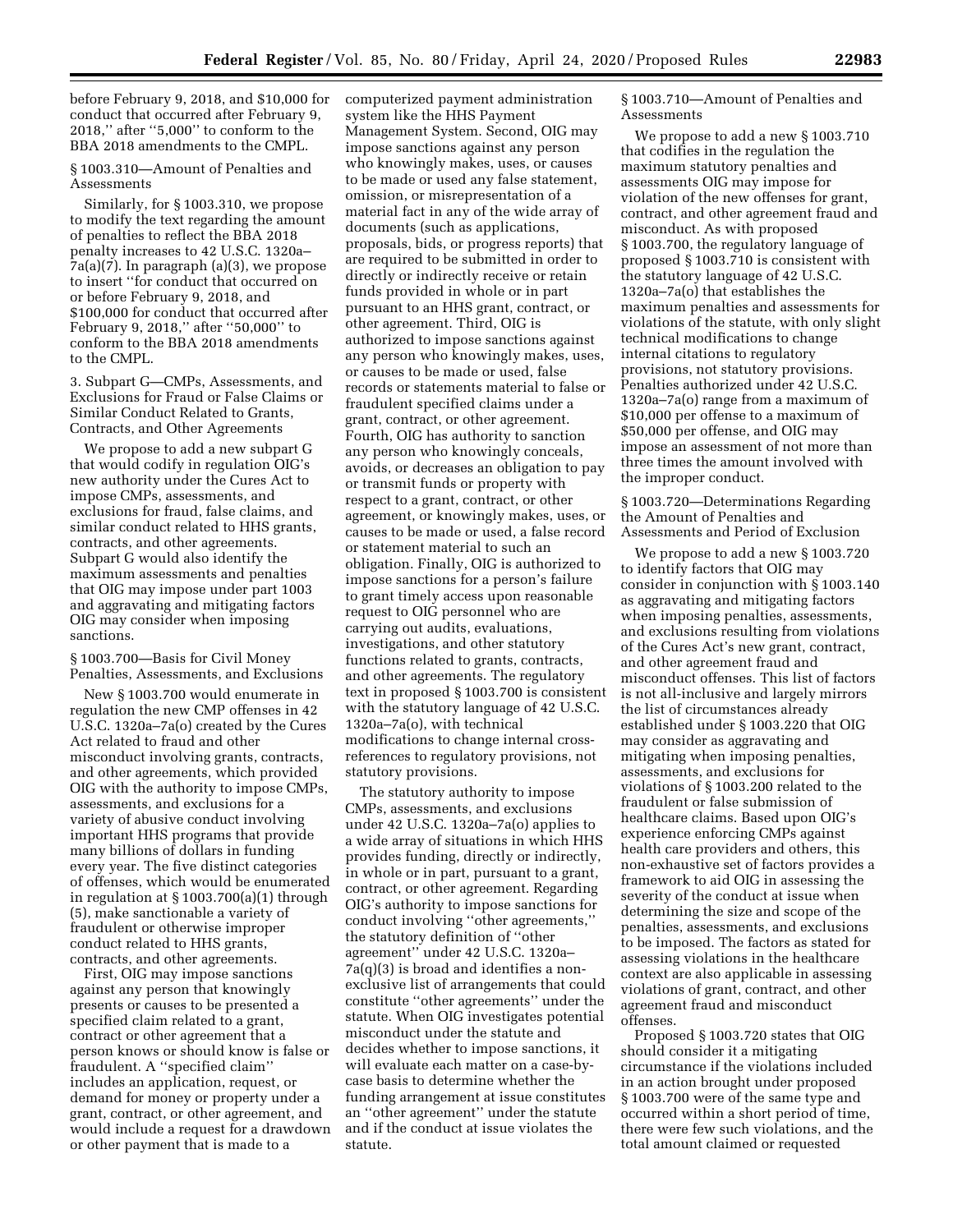before February 9, 2018, and \$10,000 for conduct that occurred after February 9, 2018,'' after ''5,000'' to conform to the BBA 2018 amendments to the CMPL.

§ 1003.310—Amount of Penalties and Assessments

Similarly, for § 1003.310, we propose to modify the text regarding the amount of penalties to reflect the BBA 2018 penalty increases to 42 U.S.C. 1320a– 7a(a)(7). In paragraph (a)(3), we propose to insert ''for conduct that occurred on or before February 9, 2018, and \$100,000 for conduct that occurred after February 9, 2018,'' after ''50,000'' to conform to the BBA 2018 amendments to the CMPL.

3. Subpart G—CMPs, Assessments, and Exclusions for Fraud or False Claims or Similar Conduct Related to Grants, Contracts, and Other Agreements

We propose to add a new subpart G that would codify in regulation OIG's new authority under the Cures Act to impose CMPs, assessments, and exclusions for fraud, false claims, and similar conduct related to HHS grants, contracts, and other agreements. Subpart G would also identify the maximum assessments and penalties that OIG may impose under part 1003 and aggravating and mitigating factors OIG may consider when imposing sanctions.

§ 1003.700—Basis for Civil Money Penalties, Assessments, and Exclusions

New § 1003.700 would enumerate in regulation the new CMP offenses in 42 U.S.C. 1320a–7a(o) created by the Cures Act related to fraud and other misconduct involving grants, contracts, and other agreements, which provided OIG with the authority to impose CMPs, assessments, and exclusions for a variety of abusive conduct involving important HHS programs that provide many billions of dollars in funding every year. The five distinct categories of offenses, which would be enumerated in regulation at § 1003.700(a)(1) through (5), make sanctionable a variety of fraudulent or otherwise improper conduct related to HHS grants, contracts, and other agreements.

First, OIG may impose sanctions against any person that knowingly presents or causes to be presented a specified claim related to a grant, contract or other agreement that a person knows or should know is false or fraudulent. A ''specified claim'' includes an application, request, or demand for money or property under a grant, contract, or other agreement, and would include a request for a drawdown or other payment that is made to a

computerized payment administration system like the HHS Payment Management System. Second, OIG may impose sanctions against any person who knowingly makes, uses, or causes to be made or used any false statement, omission, or misrepresentation of a material fact in any of the wide array of documents (such as applications, proposals, bids, or progress reports) that are required to be submitted in order to directly or indirectly receive or retain funds provided in whole or in part pursuant to an HHS grant, contract, or other agreement. Third, OIG is authorized to impose sanctions against any person who knowingly makes, uses, or causes to be made or used, false records or statements material to false or fraudulent specified claims under a grant, contract, or other agreement. Fourth, OIG has authority to sanction any person who knowingly conceals, avoids, or decreases an obligation to pay or transmit funds or property with respect to a grant, contract, or other agreement, or knowingly makes, uses, or causes to be made or used, a false record or statement material to such an obligation. Finally, OIG is authorized to impose sanctions for a person's failure to grant timely access upon reasonable request to OIG personnel who are carrying out audits, evaluations, investigations, and other statutory functions related to grants, contracts, and other agreements. The regulatory text in proposed § 1003.700 is consistent with the statutory language of 42 U.S.C. 1320a–7a(o), with technical modifications to change internal crossreferences to regulatory provisions, not statutory provisions.

The statutory authority to impose CMPs, assessments, and exclusions under 42 U.S.C. 1320a–7a(o) applies to a wide array of situations in which HHS provides funding, directly or indirectly, in whole or in part, pursuant to a grant, contract, or other agreement. Regarding OIG's authority to impose sanctions for conduct involving ''other agreements,'' the statutory definition of ''other agreement'' under 42 U.S.C. 1320a– 7a(q)(3) is broad and identifies a nonexclusive list of arrangements that could constitute ''other agreements'' under the statute. When OIG investigates potential misconduct under the statute and decides whether to impose sanctions, it will evaluate each matter on a case-bycase basis to determine whether the funding arrangement at issue constitutes an ''other agreement'' under the statute and if the conduct at issue violates the statute.

§ 1003.710—Amount of Penalties and **Assessments** 

We propose to add a new § 1003.710 that codifies in the regulation the maximum statutory penalties and assessments OIG may impose for violation of the new offenses for grant, contract, and other agreement fraud and misconduct. As with proposed § 1003.700, the regulatory language of proposed § 1003.710 is consistent with the statutory language of 42 U.S.C. 1320a–7a(o) that establishes the maximum penalties and assessments for violations of the statute, with only slight technical modifications to change internal citations to regulatory provisions, not statutory provisions. Penalties authorized under 42 U.S.C. 1320a–7a(o) range from a maximum of \$10,000 per offense to a maximum of \$50,000 per offense, and OIG may impose an assessment of not more than three times the amount involved with the improper conduct.

§ 1003.720—Determinations Regarding the Amount of Penalties and Assessments and Period of Exclusion

We propose to add a new § 1003.720 to identify factors that OIG may consider in conjunction with § 1003.140 as aggravating and mitigating factors when imposing penalties, assessments, and exclusions resulting from violations of the Cures Act's new grant, contract, and other agreement fraud and misconduct offenses. This list of factors is not all-inclusive and largely mirrors the list of circumstances already established under § 1003.220 that OIG may consider as aggravating and mitigating when imposing penalties, assessments, and exclusions for violations of § 1003.200 related to the fraudulent or false submission of healthcare claims. Based upon OIG's experience enforcing CMPs against health care providers and others, this non-exhaustive set of factors provides a framework to aid OIG in assessing the severity of the conduct at issue when determining the size and scope of the penalties, assessments, and exclusions to be imposed. The factors as stated for assessing violations in the healthcare context are also applicable in assessing violations of grant, contract, and other agreement fraud and misconduct offenses.

Proposed § 1003.720 states that OIG should consider it a mitigating circumstance if the violations included in an action brought under proposed § 1003.700 were of the same type and occurred within a short period of time, there were few such violations, and the total amount claimed or requested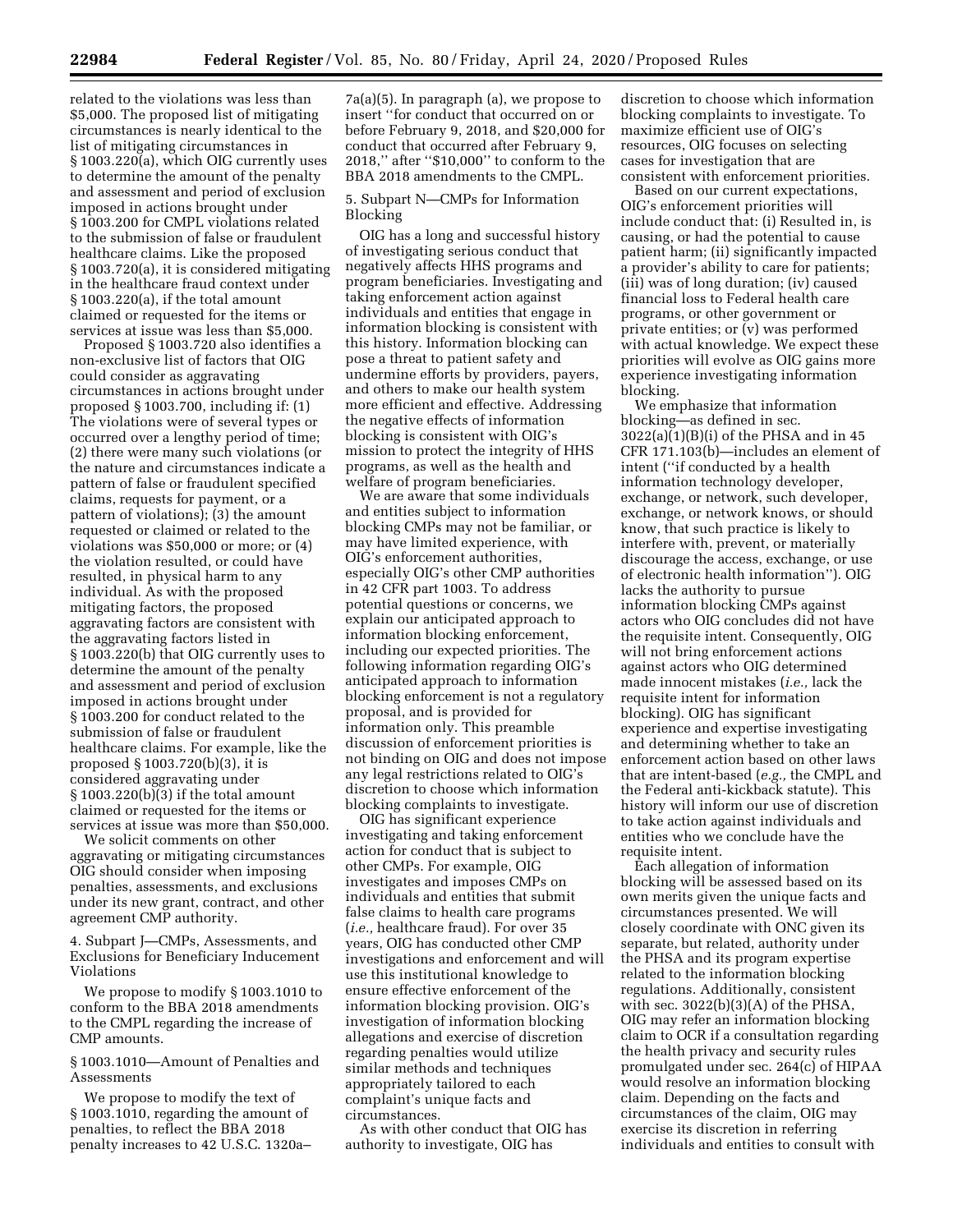related to the violations was less than \$5,000. The proposed list of mitigating circumstances is nearly identical to the list of mitigating circumstances in § 1003.220(a), which OIG currently uses to determine the amount of the penalty and assessment and period of exclusion imposed in actions brought under § 1003.200 for CMPL violations related to the submission of false or fraudulent healthcare claims. Like the proposed § 1003.720(a), it is considered mitigating in the healthcare fraud context under § 1003.220(a), if the total amount claimed or requested for the items or services at issue was less than \$5,000.

Proposed § 1003.720 also identifies a non-exclusive list of factors that OIG could consider as aggravating circumstances in actions brought under proposed § 1003.700, including if: (1) The violations were of several types or occurred over a lengthy period of time; (2) there were many such violations (or the nature and circumstances indicate a pattern of false or fraudulent specified claims, requests for payment, or a pattern of violations); (3) the amount requested or claimed or related to the violations was \$50,000 or more; or (4) the violation resulted, or could have resulted, in physical harm to any individual. As with the proposed mitigating factors, the proposed aggravating factors are consistent with the aggravating factors listed in § 1003.220(b) that OIG currently uses to determine the amount of the penalty and assessment and period of exclusion imposed in actions brought under § 1003.200 for conduct related to the submission of false or fraudulent healthcare claims. For example, like the proposed § 1003.720(b)(3), it is considered aggravating under § 1003.220(b)(3) if the total amount claimed or requested for the items or services at issue was more than \$50,000.

We solicit comments on other aggravating or mitigating circumstances OIG should consider when imposing penalties, assessments, and exclusions under its new grant, contract, and other agreement CMP authority.

4. Subpart J—CMPs, Assessments, and Exclusions for Beneficiary Inducement Violations

We propose to modify § 1003.1010 to conform to the BBA 2018 amendments to the CMPL regarding the increase of CMP amounts.

§ 1003.1010—Amount of Penalties and Assessments

We propose to modify the text of § 1003.1010, regarding the amount of penalties, to reflect the BBA 2018 penalty increases to 42 U.S.C. 1320a–

7a(a)(5). In paragraph (a), we propose to insert ''for conduct that occurred on or before February 9, 2018, and \$20,000 for conduct that occurred after February 9, 2018,'' after ''\$10,000'' to conform to the BBA 2018 amendments to the CMPL.

5. Subpart N—CMPs for Information Blocking

OIG has a long and successful history of investigating serious conduct that negatively affects HHS programs and program beneficiaries. Investigating and taking enforcement action against individuals and entities that engage in information blocking is consistent with this history. Information blocking can pose a threat to patient safety and undermine efforts by providers, payers, and others to make our health system more efficient and effective. Addressing the negative effects of information blocking is consistent with OIG's mission to protect the integrity of HHS programs, as well as the health and welfare of program beneficiaries.

We are aware that some individuals and entities subject to information blocking CMPs may not be familiar, or may have limited experience, with OIG's enforcement authorities, especially OIG's other CMP authorities in 42 CFR part 1003. To address potential questions or concerns, we explain our anticipated approach to information blocking enforcement, including our expected priorities. The following information regarding OIG's anticipated approach to information blocking enforcement is not a regulatory proposal, and is provided for information only. This preamble discussion of enforcement priorities is not binding on OIG and does not impose any legal restrictions related to OIG's discretion to choose which information blocking complaints to investigate.

OIG has significant experience investigating and taking enforcement action for conduct that is subject to other CMPs. For example, OIG investigates and imposes CMPs on individuals and entities that submit false claims to health care programs (*i.e.,* healthcare fraud). For over 35 years, OIG has conducted other CMP investigations and enforcement and will use this institutional knowledge to ensure effective enforcement of the information blocking provision. OIG's investigation of information blocking allegations and exercise of discretion regarding penalties would utilize similar methods and techniques appropriately tailored to each complaint's unique facts and circumstances.

As with other conduct that OIG has authority to investigate, OIG has

discretion to choose which information blocking complaints to investigate. To maximize efficient use of OIG's resources, OIG focuses on selecting cases for investigation that are consistent with enforcement priorities.

Based on our current expectations, OIG's enforcement priorities will include conduct that: (i) Resulted in, is causing, or had the potential to cause patient harm; (ii) significantly impacted a provider's ability to care for patients; (iii) was of long duration; (iv) caused financial loss to Federal health care programs, or other government or private entities; or (v) was performed with actual knowledge. We expect these priorities will evolve as OIG gains more experience investigating information blocking.

We emphasize that information blocking—as defined in sec.  $3022(a)(1)(B)(i)$  of the PHSA and in 45 CFR 171.103(b)—includes an element of intent (''if conducted by a health information technology developer, exchange, or network, such developer, exchange, or network knows, or should know, that such practice is likely to interfere with, prevent, or materially discourage the access, exchange, or use of electronic health information''). OIG lacks the authority to pursue information blocking CMPs against actors who OIG concludes did not have the requisite intent. Consequently, OIG will not bring enforcement actions against actors who OIG determined made innocent mistakes (*i.e.,* lack the requisite intent for information blocking). OIG has significant experience and expertise investigating and determining whether to take an enforcement action based on other laws that are intent-based (*e.g.,* the CMPL and the Federal anti-kickback statute). This history will inform our use of discretion to take action against individuals and entities who we conclude have the requisite intent.

Each allegation of information blocking will be assessed based on its own merits given the unique facts and circumstances presented. We will closely coordinate with ONC given its separate, but related, authority under the PHSA and its program expertise related to the information blocking regulations. Additionally, consistent with sec.  $3022(b)(3)(A)$  of the PHSA, OIG may refer an information blocking claim to OCR if a consultation regarding the health privacy and security rules promulgated under sec. 264(c) of HIPAA would resolve an information blocking claim. Depending on the facts and circumstances of the claim, OIG may exercise its discretion in referring individuals and entities to consult with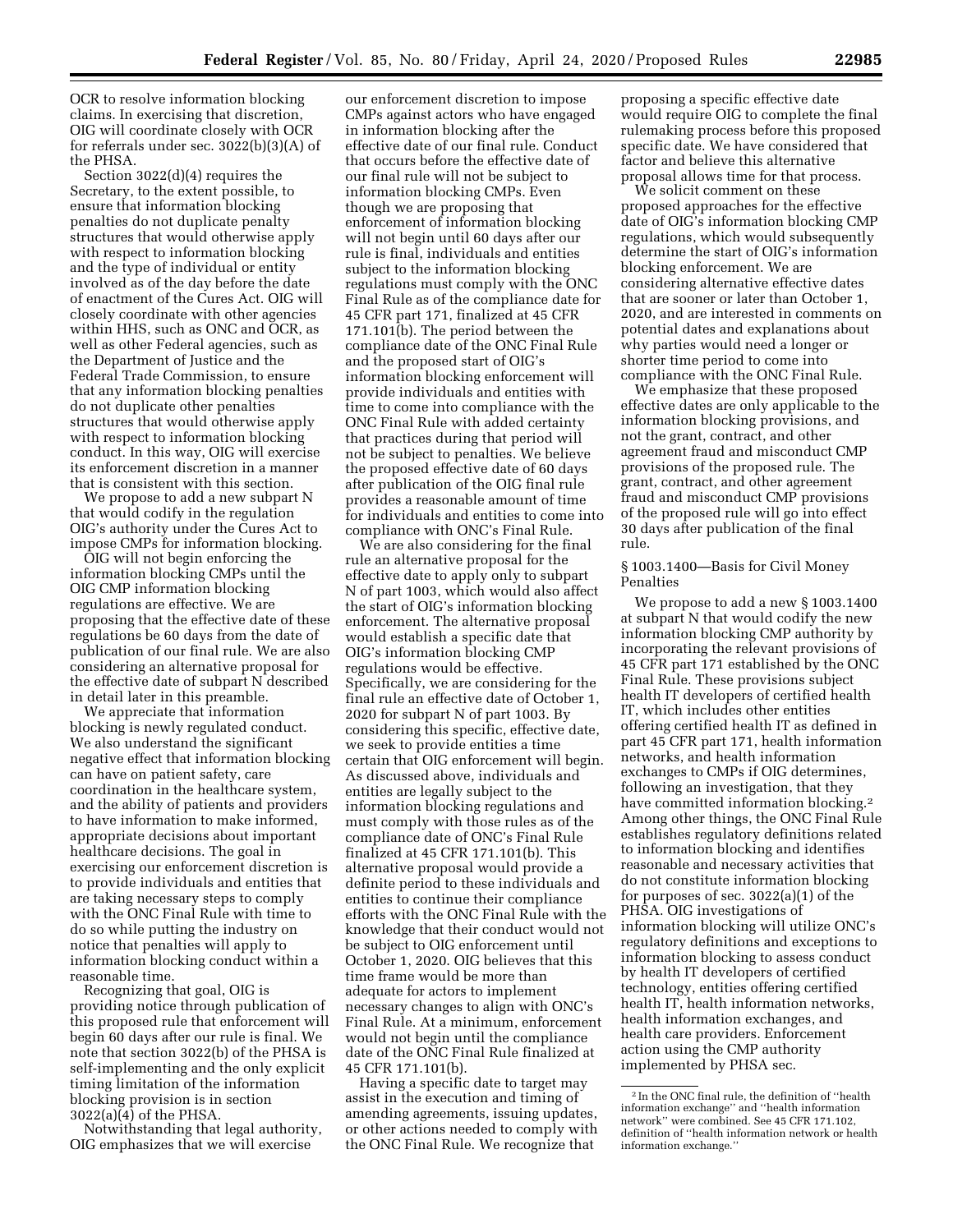OCR to resolve information blocking claims. In exercising that discretion, OIG will coordinate closely with OCR for referrals under sec. 3022(b)(3)(A) of the PHSA.

Section 3022(d)(4) requires the Secretary, to the extent possible, to ensure that information blocking penalties do not duplicate penalty structures that would otherwise apply with respect to information blocking and the type of individual or entity involved as of the day before the date of enactment of the Cures Act. OIG will closely coordinate with other agencies within HHS, such as ONC and OCR, as well as other Federal agencies, such as the Department of Justice and the Federal Trade Commission, to ensure that any information blocking penalties do not duplicate other penalties structures that would otherwise apply with respect to information blocking conduct. In this way, OIG will exercise its enforcement discretion in a manner that is consistent with this section.

We propose to add a new subpart N that would codify in the regulation OIG's authority under the Cures Act to impose CMPs for information blocking.

OIG will not begin enforcing the information blocking CMPs until the OIG CMP information blocking regulations are effective. We are proposing that the effective date of these regulations be 60 days from the date of publication of our final rule. We are also considering an alternative proposal for the effective date of subpart N described in detail later in this preamble.

We appreciate that information blocking is newly regulated conduct. We also understand the significant negative effect that information blocking can have on patient safety, care coordination in the healthcare system, and the ability of patients and providers to have information to make informed, appropriate decisions about important healthcare decisions. The goal in exercising our enforcement discretion is to provide individuals and entities that are taking necessary steps to comply with the ONC Final Rule with time to do so while putting the industry on notice that penalties will apply to information blocking conduct within a reasonable time.

Recognizing that goal, OIG is providing notice through publication of this proposed rule that enforcement will begin 60 days after our rule is final. We note that section 3022(b) of the PHSA is self-implementing and the only explicit timing limitation of the information blocking provision is in section 3022(a)(4) of the PHSA.

Notwithstanding that legal authority, OIG emphasizes that we will exercise

our enforcement discretion to impose CMPs against actors who have engaged in information blocking after the effective date of our final rule. Conduct that occurs before the effective date of our final rule will not be subject to information blocking CMPs. Even though we are proposing that enforcement of information blocking will not begin until 60 days after our rule is final, individuals and entities subject to the information blocking regulations must comply with the ONC Final Rule as of the compliance date for 45 CFR part 171, finalized at 45 CFR 171.101(b). The period between the compliance date of the ONC Final Rule and the proposed start of OIG's information blocking enforcement will provide individuals and entities with time to come into compliance with the ONC Final Rule with added certainty that practices during that period will not be subject to penalties. We believe the proposed effective date of 60 days after publication of the OIG final rule provides a reasonable amount of time for individuals and entities to come into compliance with ONC's Final Rule.

We are also considering for the final rule an alternative proposal for the effective date to apply only to subpart N of part 1003, which would also affect the start of OIG's information blocking enforcement. The alternative proposal would establish a specific date that OIG's information blocking CMP regulations would be effective. Specifically, we are considering for the final rule an effective date of October 1, 2020 for subpart N of part 1003. By considering this specific, effective date, we seek to provide entities a time certain that OIG enforcement will begin. As discussed above, individuals and entities are legally subject to the information blocking regulations and must comply with those rules as of the compliance date of ONC's Final Rule finalized at 45 CFR 171.101(b). This alternative proposal would provide a definite period to these individuals and entities to continue their compliance efforts with the ONC Final Rule with the knowledge that their conduct would not be subject to OIG enforcement until October 1, 2020. OIG believes that this time frame would be more than adequate for actors to implement necessary changes to align with ONC's Final Rule. At a minimum, enforcement would not begin until the compliance date of the ONC Final Rule finalized at 45 CFR 171.101(b).

Having a specific date to target may assist in the execution and timing of amending agreements, issuing updates, or other actions needed to comply with the ONC Final Rule. We recognize that

proposing a specific effective date would require OIG to complete the final rulemaking process before this proposed specific date. We have considered that factor and believe this alternative proposal allows time for that process.

We solicit comment on these proposed approaches for the effective date of OIG's information blocking CMP regulations, which would subsequently determine the start of OIG's information blocking enforcement. We are considering alternative effective dates that are sooner or later than October 1, 2020, and are interested in comments on potential dates and explanations about why parties would need a longer or shorter time period to come into compliance with the ONC Final Rule.

We emphasize that these proposed effective dates are only applicable to the information blocking provisions, and not the grant, contract, and other agreement fraud and misconduct CMP provisions of the proposed rule. The grant, contract, and other agreement fraud and misconduct CMP provisions of the proposed rule will go into effect 30 days after publication of the final rule.

## § 1003.1400—Basis for Civil Money Penalties

We propose to add a new § 1003.1400 at subpart N that would codify the new information blocking CMP authority by incorporating the relevant provisions of 45 CFR part 171 established by the ONC Final Rule. These provisions subject health IT developers of certified health IT, which includes other entities offering certified health IT as defined in part 45 CFR part 171, health information networks, and health information exchanges to CMPs if OIG determines, following an investigation, that they have committed information blocking.2 Among other things, the ONC Final Rule establishes regulatory definitions related to information blocking and identifies reasonable and necessary activities that do not constitute information blocking for purposes of sec. 3022(a)(1) of the PHSA. OIG investigations of information blocking will utilize ONC's regulatory definitions and exceptions to information blocking to assess conduct by health IT developers of certified technology, entities offering certified health IT, health information networks, health information exchanges, and health care providers. Enforcement action using the CMP authority implemented by PHSA sec.

<sup>2</sup> In the ONC final rule, the definition of ''health information exchange'' and ''health information network'' were combined. See 45 CFR 171.102, definition of ''health information network or health information exchange.''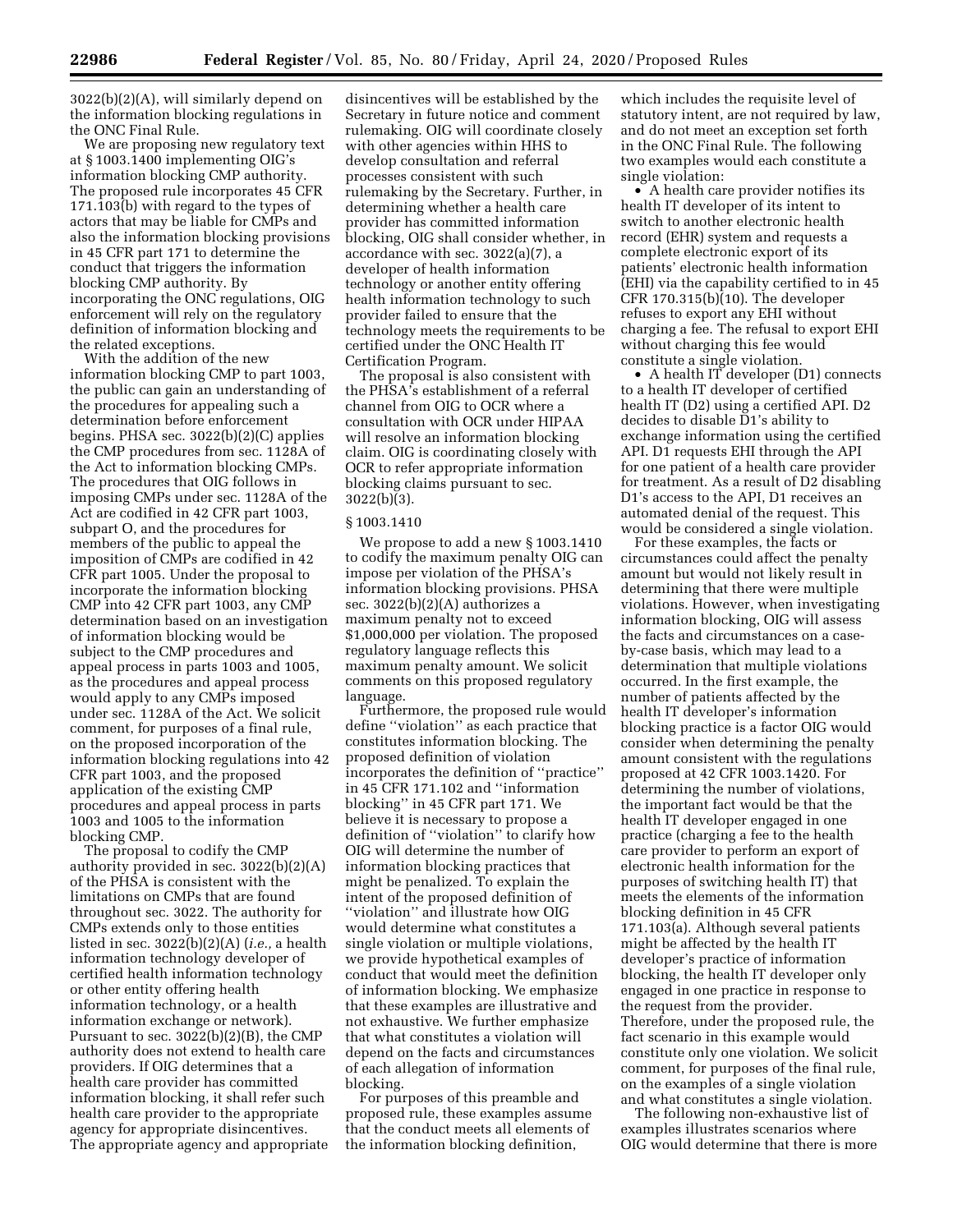3022(b)(2)(A), will similarly depend on the information blocking regulations in the ONC Final Rule.

We are proposing new regulatory text at § 1003.1400 implementing OIG's information blocking CMP authority. The proposed rule incorporates 45 CFR 171.103(b) with regard to the types of actors that may be liable for CMPs and also the information blocking provisions in 45 CFR part 171 to determine the conduct that triggers the information blocking CMP authority. By incorporating the ONC regulations, OIG enforcement will rely on the regulatory definition of information blocking and the related exceptions.

With the addition of the new information blocking CMP to part 1003, the public can gain an understanding of the procedures for appealing such a determination before enforcement begins. PHSA sec. 3022(b)(2)(C) applies the CMP procedures from sec. 1128A of the Act to information blocking CMPs. The procedures that OIG follows in imposing CMPs under sec. 1128A of the Act are codified in 42 CFR part 1003, subpart O, and the procedures for members of the public to appeal the imposition of CMPs are codified in 42 CFR part 1005. Under the proposal to incorporate the information blocking CMP into 42 CFR part 1003, any CMP determination based on an investigation of information blocking would be subject to the CMP procedures and appeal process in parts 1003 and 1005, as the procedures and appeal process would apply to any CMPs imposed under sec. 1128A of the Act. We solicit comment, for purposes of a final rule, on the proposed incorporation of the information blocking regulations into 42 CFR part 1003, and the proposed application of the existing CMP procedures and appeal process in parts 1003 and 1005 to the information blocking CMP.

The proposal to codify the CMP authority provided in sec. 3022(b)(2)(A) of the PHSA is consistent with the limitations on CMPs that are found throughout sec. 3022. The authority for CMPs extends only to those entities listed in sec. 3022(b)(2)(A) (*i.e.,* a health information technology developer of certified health information technology or other entity offering health information technology, or a health information exchange or network). Pursuant to sec. 3022(b)(2)(B), the CMP authority does not extend to health care providers. If OIG determines that a health care provider has committed information blocking, it shall refer such health care provider to the appropriate agency for appropriate disincentives. The appropriate agency and appropriate

disincentives will be established by the Secretary in future notice and comment rulemaking. OIG will coordinate closely with other agencies within HHS to develop consultation and referral processes consistent with such rulemaking by the Secretary. Further, in determining whether a health care provider has committed information blocking, OIG shall consider whether, in accordance with sec. 3022(a)(7), a developer of health information technology or another entity offering health information technology to such provider failed to ensure that the technology meets the requirements to be certified under the ONC Health IT Certification Program.

The proposal is also consistent with the PHSA's establishment of a referral channel from OIG to OCR where a consultation with OCR under HIPAA will resolve an information blocking claim. OIG is coordinating closely with OCR to refer appropriate information blocking claims pursuant to sec. 3022(b)(3).

### § 1003.1410

We propose to add a new § 1003.1410 to codify the maximum penalty OIG can impose per violation of the PHSA's information blocking provisions. PHSA sec. 3022(b)(2)(A) authorizes a maximum penalty not to exceed \$1,000,000 per violation. The proposed regulatory language reflects this maximum penalty amount. We solicit comments on this proposed regulatory language.

Furthermore, the proposed rule would define ''violation'' as each practice that constitutes information blocking. The proposed definition of violation incorporates the definition of ''practice'' in 45 CFR 171.102 and ''information blocking'' in 45 CFR part 171. We believe it is necessary to propose a definition of ''violation'' to clarify how OIG will determine the number of information blocking practices that might be penalized. To explain the intent of the proposed definition of ''violation'' and illustrate how OIG would determine what constitutes a single violation or multiple violations, we provide hypothetical examples of conduct that would meet the definition of information blocking. We emphasize that these examples are illustrative and not exhaustive. We further emphasize that what constitutes a violation will depend on the facts and circumstances of each allegation of information blocking.

For purposes of this preamble and proposed rule, these examples assume that the conduct meets all elements of the information blocking definition,

which includes the requisite level of statutory intent, are not required by law, and do not meet an exception set forth in the ONC Final Rule. The following two examples would each constitute a single violation:

• A health care provider notifies its health IT developer of its intent to switch to another electronic health record (EHR) system and requests a complete electronic export of its patients' electronic health information (EHI) via the capability certified to in 45 CFR 170.315(b)(10). The developer refuses to export any EHI without charging a fee. The refusal to export EHI without charging this fee would constitute a single violation.

• A health IT developer (D1) connects to a health IT developer of certified health IT (D2) using a certified API. D2 decides to disable D1's ability to exchange information using the certified API. D1 requests EHI through the API for one patient of a health care provider for treatment. As a result of D2 disabling D1's access to the API, D1 receives an automated denial of the request. This would be considered a single violation.

For these examples, the facts or circumstances could affect the penalty amount but would not likely result in determining that there were multiple violations. However, when investigating information blocking, OIG will assess the facts and circumstances on a caseby-case basis, which may lead to a determination that multiple violations occurred. In the first example, the number of patients affected by the health IT developer's information blocking practice is a factor OIG would consider when determining the penalty amount consistent with the regulations proposed at 42 CFR 1003.1420. For determining the number of violations, the important fact would be that the health IT developer engaged in one practice (charging a fee to the health care provider to perform an export of electronic health information for the purposes of switching health IT) that meets the elements of the information blocking definition in 45 CFR 171.103(a). Although several patients might be affected by the health IT developer's practice of information blocking, the health IT developer only engaged in one practice in response to the request from the provider. Therefore, under the proposed rule, the fact scenario in this example would constitute only one violation. We solicit comment, for purposes of the final rule, on the examples of a single violation and what constitutes a single violation.

The following non-exhaustive list of examples illustrates scenarios where OIG would determine that there is more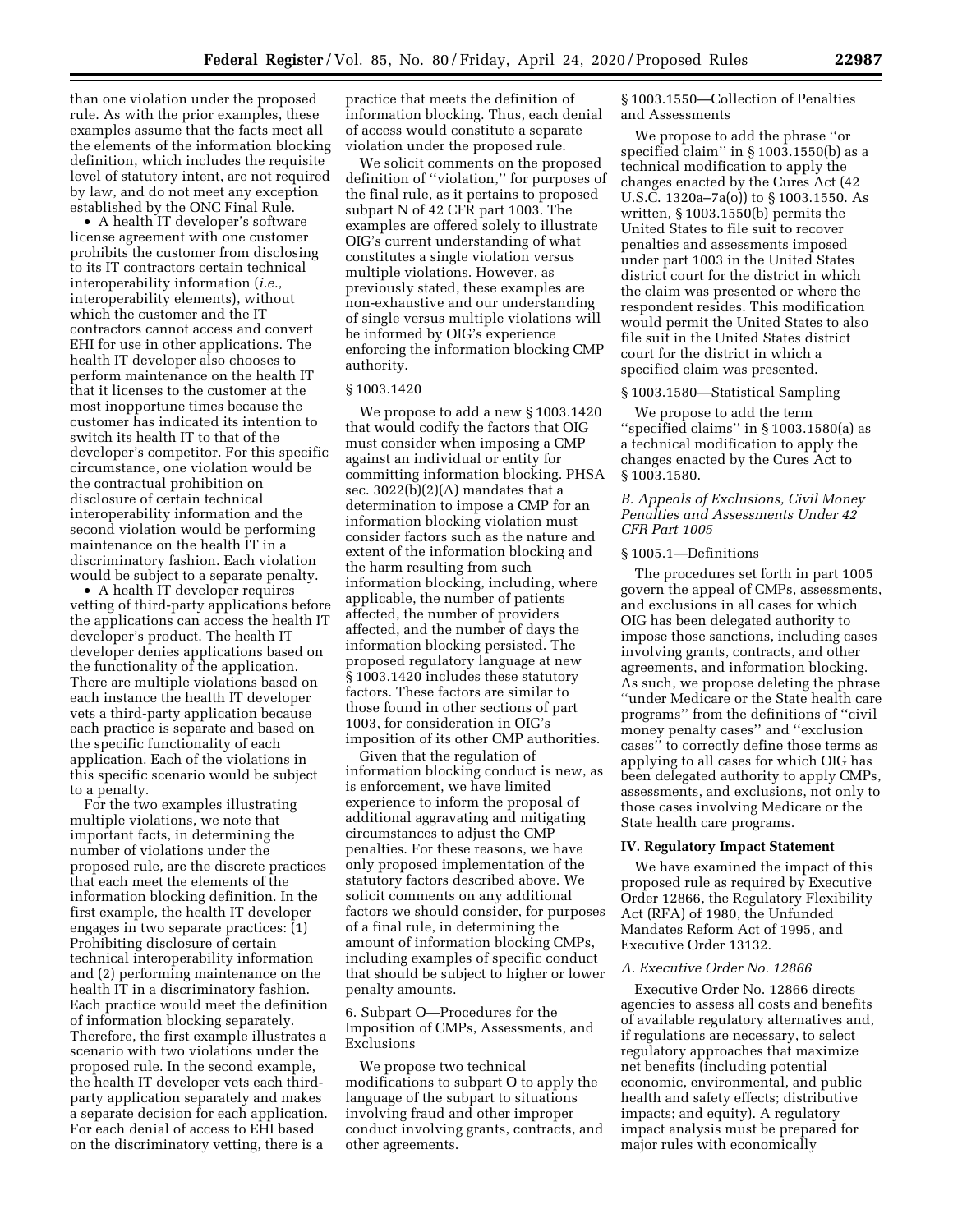than one violation under the proposed rule. As with the prior examples, these examples assume that the facts meet all the elements of the information blocking definition, which includes the requisite level of statutory intent, are not required by law, and do not meet any exception established by the ONC Final Rule.

• A health IT developer's software license agreement with one customer prohibits the customer from disclosing to its IT contractors certain technical interoperability information (*i.e.,*  interoperability elements), without which the customer and the IT contractors cannot access and convert EHI for use in other applications. The health IT developer also chooses to perform maintenance on the health IT that it licenses to the customer at the most inopportune times because the customer has indicated its intention to switch its health IT to that of the developer's competitor. For this specific circumstance, one violation would be the contractual prohibition on disclosure of certain technical interoperability information and the second violation would be performing maintenance on the health IT in a discriminatory fashion. Each violation would be subject to a separate penalty.

• A health IT developer requires vetting of third-party applications before the applications can access the health IT developer's product. The health IT developer denies applications based on the functionality of the application. There are multiple violations based on each instance the health IT developer vets a third-party application because each practice is separate and based on the specific functionality of each application. Each of the violations in this specific scenario would be subject to a penalty.

For the two examples illustrating multiple violations, we note that important facts, in determining the number of violations under the proposed rule, are the discrete practices that each meet the elements of the information blocking definition. In the first example, the health IT developer engages in two separate practices: (1) Prohibiting disclosure of certain technical interoperability information and (2) performing maintenance on the health IT in a discriminatory fashion. Each practice would meet the definition of information blocking separately. Therefore, the first example illustrates a scenario with two violations under the proposed rule. In the second example, the health IT developer vets each thirdparty application separately and makes a separate decision for each application. For each denial of access to EHI based on the discriminatory vetting, there is a

practice that meets the definition of information blocking. Thus, each denial of access would constitute a separate violation under the proposed rule.

We solicit comments on the proposed definition of ''violation,'' for purposes of the final rule, as it pertains to proposed subpart N of 42 CFR part 1003. The examples are offered solely to illustrate OIG's current understanding of what constitutes a single violation versus multiple violations. However, as previously stated, these examples are non-exhaustive and our understanding of single versus multiple violations will be informed by OIG's experience enforcing the information blocking CMP authority.

#### § 1003.1420

We propose to add a new § 1003.1420 that would codify the factors that OIG must consider when imposing a CMP against an individual or entity for committing information blocking. PHSA sec. 3022(b)(2)(A) mandates that a determination to impose a CMP for an information blocking violation must consider factors such as the nature and extent of the information blocking and the harm resulting from such information blocking, including, where applicable, the number of patients affected, the number of providers affected, and the number of days the information blocking persisted. The proposed regulatory language at new § 1003.1420 includes these statutory factors. These factors are similar to those found in other sections of part 1003, for consideration in OIG's imposition of its other CMP authorities.

Given that the regulation of information blocking conduct is new, as is enforcement, we have limited experience to inform the proposal of additional aggravating and mitigating circumstances to adjust the CMP penalties. For these reasons, we have only proposed implementation of the statutory factors described above. We solicit comments on any additional factors we should consider, for purposes of a final rule, in determining the amount of information blocking CMPs, including examples of specific conduct that should be subject to higher or lower penalty amounts.

# 6. Subpart O—Procedures for the Imposition of CMPs, Assessments, and Exclusions

We propose two technical modifications to subpart O to apply the language of the subpart to situations involving fraud and other improper conduct involving grants, contracts, and other agreements.

§ 1003.1550—Collection of Penalties and Assessments

We propose to add the phrase ''or specified claim'' in § 1003.1550(b) as a technical modification to apply the changes enacted by the Cures Act (42 U.S.C. 1320a–7a(o)) to § 1003.1550. As written, § 1003.1550(b) permits the United States to file suit to recover penalties and assessments imposed under part 1003 in the United States district court for the district in which the claim was presented or where the respondent resides. This modification would permit the United States to also file suit in the United States district court for the district in which a specified claim was presented.

#### § 1003.1580—Statistical Sampling

We propose to add the term ''specified claims'' in § 1003.1580(a) as a technical modification to apply the changes enacted by the Cures Act to § 1003.1580.

## *B. Appeals of Exclusions, Civil Money Penalties and Assessments Under 42 CFR Part 1005*

#### § 1005.1—Definitions

The procedures set forth in part 1005 govern the appeal of CMPs, assessments, and exclusions in all cases for which OIG has been delegated authority to impose those sanctions, including cases involving grants, contracts, and other agreements, and information blocking. As such, we propose deleting the phrase ''under Medicare or the State health care programs'' from the definitions of ''civil money penalty cases'' and ''exclusion cases'' to correctly define those terms as applying to all cases for which OIG has been delegated authority to apply CMPs, assessments, and exclusions, not only to those cases involving Medicare or the State health care programs.

#### **IV. Regulatory Impact Statement**

We have examined the impact of this proposed rule as required by Executive Order 12866, the Regulatory Flexibility Act (RFA) of 1980, the Unfunded Mandates Reform Act of 1995, and Executive Order 13132.

#### *A. Executive Order No. 12866*

Executive Order No. 12866 directs agencies to assess all costs and benefits of available regulatory alternatives and, if regulations are necessary, to select regulatory approaches that maximize net benefits (including potential economic, environmental, and public health and safety effects; distributive impacts; and equity). A regulatory impact analysis must be prepared for major rules with economically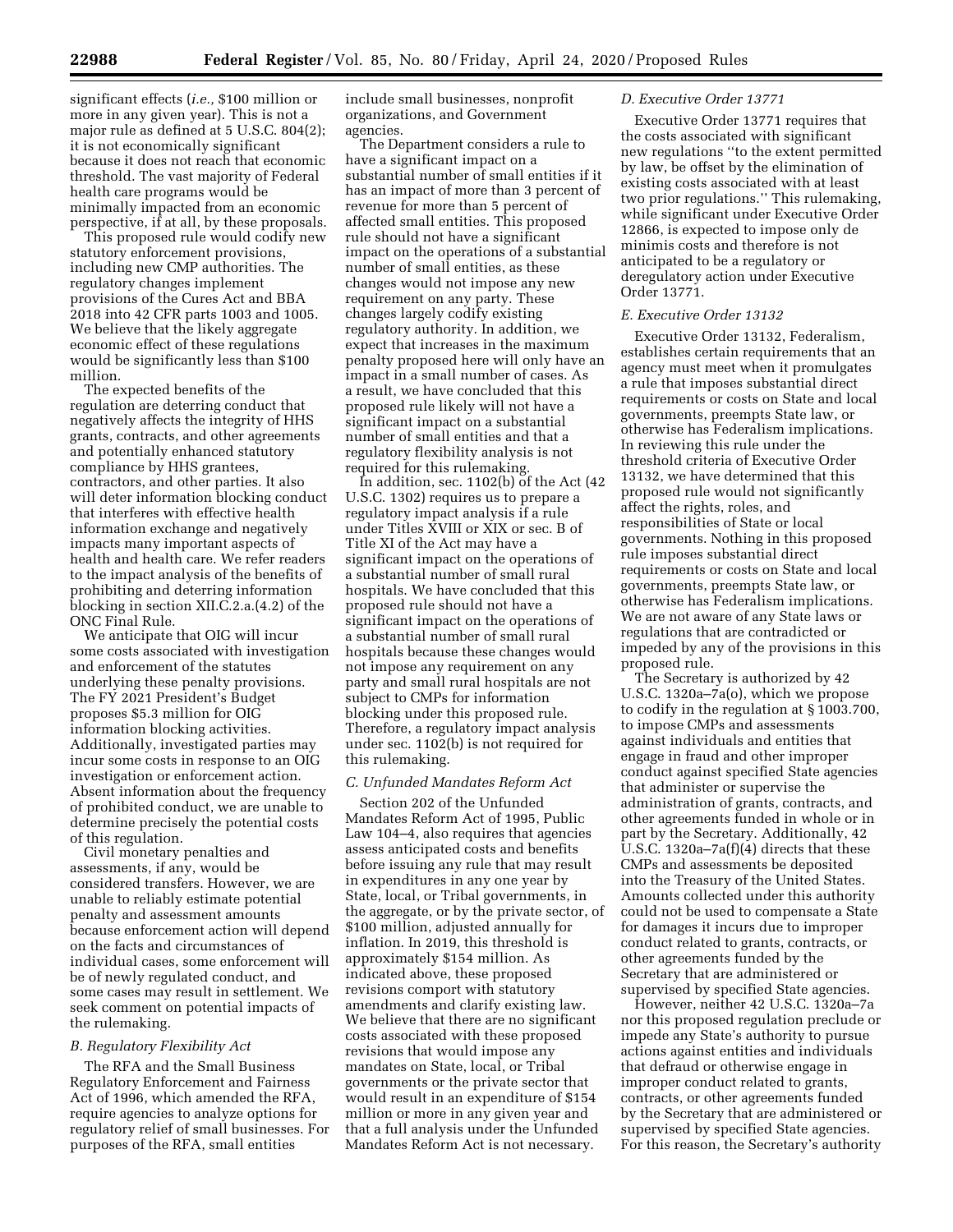significant effects (*i.e.,* \$100 million or more in any given year). This is not a major rule as defined at 5 U.S.C. 804(2); it is not economically significant because it does not reach that economic threshold. The vast majority of Federal health care programs would be minimally impacted from an economic perspective, if at all, by these proposals.

This proposed rule would codify new statutory enforcement provisions, including new CMP authorities. The regulatory changes implement provisions of the Cures Act and BBA 2018 into 42 CFR parts 1003 and 1005. We believe that the likely aggregate economic effect of these regulations would be significantly less than \$100 million.

The expected benefits of the regulation are deterring conduct that negatively affects the integrity of HHS grants, contracts, and other agreements and potentially enhanced statutory compliance by HHS grantees, contractors, and other parties. It also will deter information blocking conduct that interferes with effective health information exchange and negatively impacts many important aspects of health and health care. We refer readers to the impact analysis of the benefits of prohibiting and deterring information blocking in section XII.C.2.a.(4.2) of the ONC Final Rule.

We anticipate that OIG will incur some costs associated with investigation and enforcement of the statutes underlying these penalty provisions. The FY 2021 President's Budget proposes \$5.3 million for OIG information blocking activities. Additionally, investigated parties may incur some costs in response to an OIG investigation or enforcement action. Absent information about the frequency of prohibited conduct, we are unable to determine precisely the potential costs of this regulation.

Civil monetary penalties and assessments, if any, would be considered transfers. However, we are unable to reliably estimate potential penalty and assessment amounts because enforcement action will depend on the facts and circumstances of individual cases, some enforcement will be of newly regulated conduct, and some cases may result in settlement. We seek comment on potential impacts of the rulemaking.

### *B. Regulatory Flexibility Act*

The RFA and the Small Business Regulatory Enforcement and Fairness Act of 1996, which amended the RFA, require agencies to analyze options for regulatory relief of small businesses. For purposes of the RFA, small entities

include small businesses, nonprofit organizations, and Government agencies.

The Department considers a rule to have a significant impact on a substantial number of small entities if it has an impact of more than 3 percent of revenue for more than 5 percent of affected small entities. This proposed rule should not have a significant impact on the operations of a substantial number of small entities, as these changes would not impose any new requirement on any party. These changes largely codify existing regulatory authority. In addition, we expect that increases in the maximum penalty proposed here will only have an impact in a small number of cases. As a result, we have concluded that this proposed rule likely will not have a significant impact on a substantial number of small entities and that a regulatory flexibility analysis is not required for this rulemaking.

In addition, sec. 1102(b) of the Act (42 U.S.C. 1302) requires us to prepare a regulatory impact analysis if a rule under Titles XVIII or XIX or sec. B of Title XI of the Act may have a significant impact on the operations of a substantial number of small rural hospitals. We have concluded that this proposed rule should not have a significant impact on the operations of a substantial number of small rural hospitals because these changes would not impose any requirement on any party and small rural hospitals are not subject to CMPs for information blocking under this proposed rule. Therefore, a regulatory impact analysis under sec. 1102(b) is not required for this rulemaking.

### *C. Unfunded Mandates Reform Act*

Section 202 of the Unfunded Mandates Reform Act of 1995, Public Law 104–4, also requires that agencies assess anticipated costs and benefits before issuing any rule that may result in expenditures in any one year by State, local, or Tribal governments, in the aggregate, or by the private sector, of \$100 million, adjusted annually for inflation. In 2019, this threshold is approximately \$154 million. As indicated above, these proposed revisions comport with statutory amendments and clarify existing law. We believe that there are no significant costs associated with these proposed revisions that would impose any mandates on State, local, or Tribal governments or the private sector that would result in an expenditure of \$154 million or more in any given year and that a full analysis under the Unfunded Mandates Reform Act is not necessary.

# *D. Executive Order 13771*

Executive Order 13771 requires that the costs associated with significant new regulations ''to the extent permitted by law, be offset by the elimination of existing costs associated with at least two prior regulations.'' This rulemaking, while significant under Executive Order 12866, is expected to impose only de minimis costs and therefore is not anticipated to be a regulatory or deregulatory action under Executive Order 13771.

### *E. Executive Order 13132*

Executive Order 13132, Federalism, establishes certain requirements that an agency must meet when it promulgates a rule that imposes substantial direct requirements or costs on State and local governments, preempts State law, or otherwise has Federalism implications. In reviewing this rule under the threshold criteria of Executive Order 13132, we have determined that this proposed rule would not significantly affect the rights, roles, and responsibilities of State or local governments. Nothing in this proposed rule imposes substantial direct requirements or costs on State and local governments, preempts State law, or otherwise has Federalism implications. We are not aware of any State laws or regulations that are contradicted or impeded by any of the provisions in this proposed rule.

The Secretary is authorized by 42 U.S.C. 1320a–7a(o), which we propose to codify in the regulation at § 1003.700, to impose CMPs and assessments against individuals and entities that engage in fraud and other improper conduct against specified State agencies that administer or supervise the administration of grants, contracts, and other agreements funded in whole or in part by the Secretary. Additionally, 42 U.S.C. 1320a–7a(f)(4) directs that these CMPs and assessments be deposited into the Treasury of the United States. Amounts collected under this authority could not be used to compensate a State for damages it incurs due to improper conduct related to grants, contracts, or other agreements funded by the Secretary that are administered or supervised by specified State agencies.

However, neither 42 U.S.C. 1320a–7a nor this proposed regulation preclude or impede any State's authority to pursue actions against entities and individuals that defraud or otherwise engage in improper conduct related to grants, contracts, or other agreements funded by the Secretary that are administered or supervised by specified State agencies. For this reason, the Secretary's authority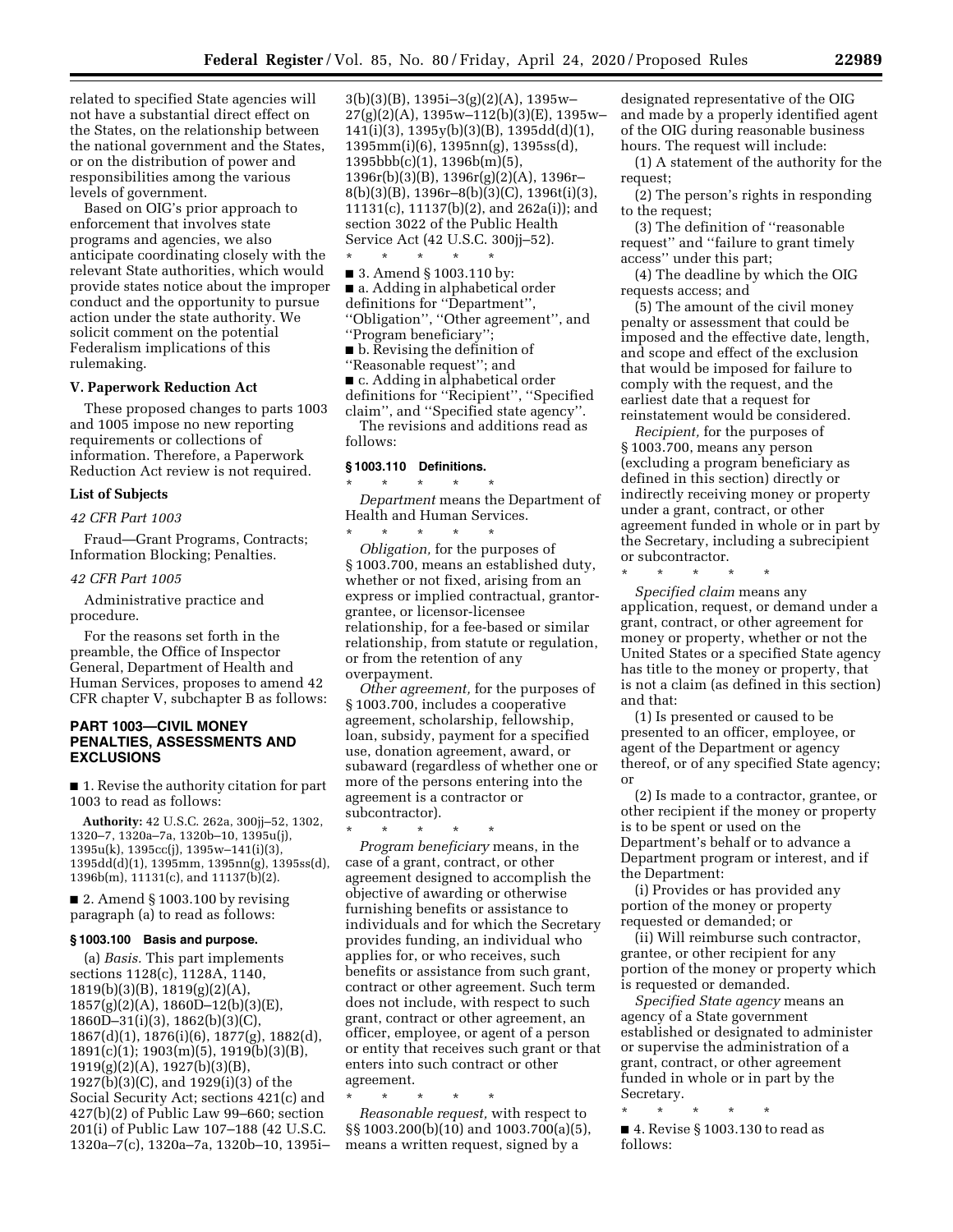related to specified State agencies will not have a substantial direct effect on the States, on the relationship between the national government and the States, or on the distribution of power and responsibilities among the various levels of government.

Based on OIG's prior approach to enforcement that involves state programs and agencies, we also anticipate coordinating closely with the relevant State authorities, which would provide states notice about the improper conduct and the opportunity to pursue action under the state authority. We solicit comment on the potential Federalism implications of this rulemaking.

# **V. Paperwork Reduction Act**

These proposed changes to parts 1003 and 1005 impose no new reporting requirements or collections of information. Therefore, a Paperwork Reduction Act review is not required.

#### **List of Subjects**

#### *42 CFR Part 1003*

Fraud—Grant Programs, Contracts; Information Blocking; Penalties.

#### *42 CFR Part 1005*

Administrative practice and procedure.

For the reasons set forth in the preamble, the Office of Inspector General, Department of Health and Human Services, proposes to amend 42 CFR chapter V, subchapter B as follows:

# **PART 1003—CIVIL MONEY PENALTIES, ASSESSMENTS AND EXCLUSIONS**

■ 1. Revise the authority citation for part 1003 to read as follows:

**Authority:** 42 U.S.C. 262a, 300jj–52, 1302, 1320–7, 1320a–7a, 1320b–10, 1395u(j), 1395u(k), 1395cc(j), 1395w–141(i)(3), 1395dd(d)(1), 1395mm, 1395nn(g), 1395ss(d), 1396b(m), 11131(c), and 11137(b)(2).

■ 2. Amend § 1003.100 by revising paragraph (a) to read as follows:

# **§ 1003.100 Basis and purpose.**

(a) *Basis.* This part implements sections 1128(c), 1128A, 1140, 1819(b)(3)(B), 1819(g)(2)(A), 1857(g)(2)(A), 1860D–12(b)(3)(E), 1860D–31(i)(3), 1862(b)(3)(C), 1867(d)(1), 1876(i)(6), 1877(g), 1882(d), 1891(c)(1); 1903(m)(5), 1919(b)(3)(B), 1919(g)(2)(A), 1927(b)(3)(B), 1927(b)(3)(C), and 1929(i)(3) of the Social Security Act; sections 421(c) and 427(b)(2) of Public Law 99–660; section 201(i) of Public Law 107–188 (42 U.S.C. 1320a–7(c), 1320a–7a, 1320b–10, 1395i– 3(b)(3)(B), 1395i–3(g)(2)(A), 1395w– 27(g)(2)(A), 1395w–112(b)(3)(E), 1395w– 141(i)(3), 1395y(b)(3)(B), 1395dd(d)(1), 1395mm(i)(6), 1395nn(g), 1395ss(d), 1395bbb(c)(1), 1396b(m)(5), 1396r(b)(3)(B), 1396r(g)(2)(A), 1396r– 8(b)(3)(B), 1396r–8(b)(3)(C), 1396t(i)(3), 11131(c), 11137(b)(2), and 262a(i)); and section 3022 of the Public Health Service Act (42 U.S.C. 300jj–52).

\* \* \* \* \*

■ 3. Amend § 1003.110 by: ■ a. Adding in alphabetical order definitions for ''Department'', ''Obligation'', ''Other agreement'', and ''Program beneficiary'';

■ b. Revising the definition of ''Reasonable request''; and

■ c. Adding in alphabetical order definitions for ''Recipient'', ''Specified claim'', and ''Specified state agency''.

The revisions and additions read as follows:

#### **§ 1003.110 Definitions.**

\* \* \* \* \* *Department* means the Department of Health and Human Services.

\* \* \* \* \* *Obligation,* for the purposes of § 1003.700, means an established duty, whether or not fixed, arising from an express or implied contractual, grantorgrantee, or licensor-licensee relationship, for a fee-based or similar relationship, from statute or regulation, or from the retention of any overpayment.

*Other agreement,* for the purposes of § 1003.700, includes a cooperative agreement, scholarship, fellowship, loan, subsidy, payment for a specified use, donation agreement, award, or subaward (regardless of whether one or more of the persons entering into the agreement is a contractor or subcontractor).

\* \* \* \* \* *Program beneficiary* means, in the case of a grant, contract, or other agreement designed to accomplish the objective of awarding or otherwise furnishing benefits or assistance to individuals and for which the Secretary provides funding, an individual who applies for, or who receives, such benefits or assistance from such grant, contract or other agreement. Such term does not include, with respect to such grant, contract or other agreement, an officer, employee, or agent of a person or entity that receives such grant or that enters into such contract or other agreement.

\* \* \* \* \*

*Reasonable request,* with respect to §§ 1003.200(b)(10) and 1003.700(a)(5), means a written request, signed by a

designated representative of the OIG and made by a properly identified agent of the OIG during reasonable business hours. The request will include:

(1) A statement of the authority for the request;

(2) The person's rights in responding to the request;

(3) The definition of ''reasonable request'' and ''failure to grant timely access'' under this part;

(4) The deadline by which the OIG requests access; and

(5) The amount of the civil money penalty or assessment that could be imposed and the effective date, length, and scope and effect of the exclusion that would be imposed for failure to comply with the request, and the earliest date that a request for reinstatement would be considered.

*Recipient,* for the purposes of § 1003.700, means any person (excluding a program beneficiary as defined in this section) directly or indirectly receiving money or property under a grant, contract, or other agreement funded in whole or in part by the Secretary, including a subrecipient or subcontractor.

\* \* \* \* \*

*Specified claim* means any application, request, or demand under a grant, contract, or other agreement for money or property, whether or not the United States or a specified State agency has title to the money or property, that is not a claim (as defined in this section) and that:

(1) Is presented or caused to be presented to an officer, employee, or agent of the Department or agency thereof, or of any specified State agency; or

(2) Is made to a contractor, grantee, or other recipient if the money or property is to be spent or used on the Department's behalf or to advance a Department program or interest, and if the Department:

(i) Provides or has provided any portion of the money or property requested or demanded; or

(ii) Will reimburse such contractor, grantee, or other recipient for any portion of the money or property which is requested or demanded.

*Specified State agency* means an agency of a State government established or designated to administer or supervise the administration of a grant, contract, or other agreement funded in whole or in part by the Secretary.

\* \* \* \* \* ■ 4. Revise § 1003.130 to read as follows: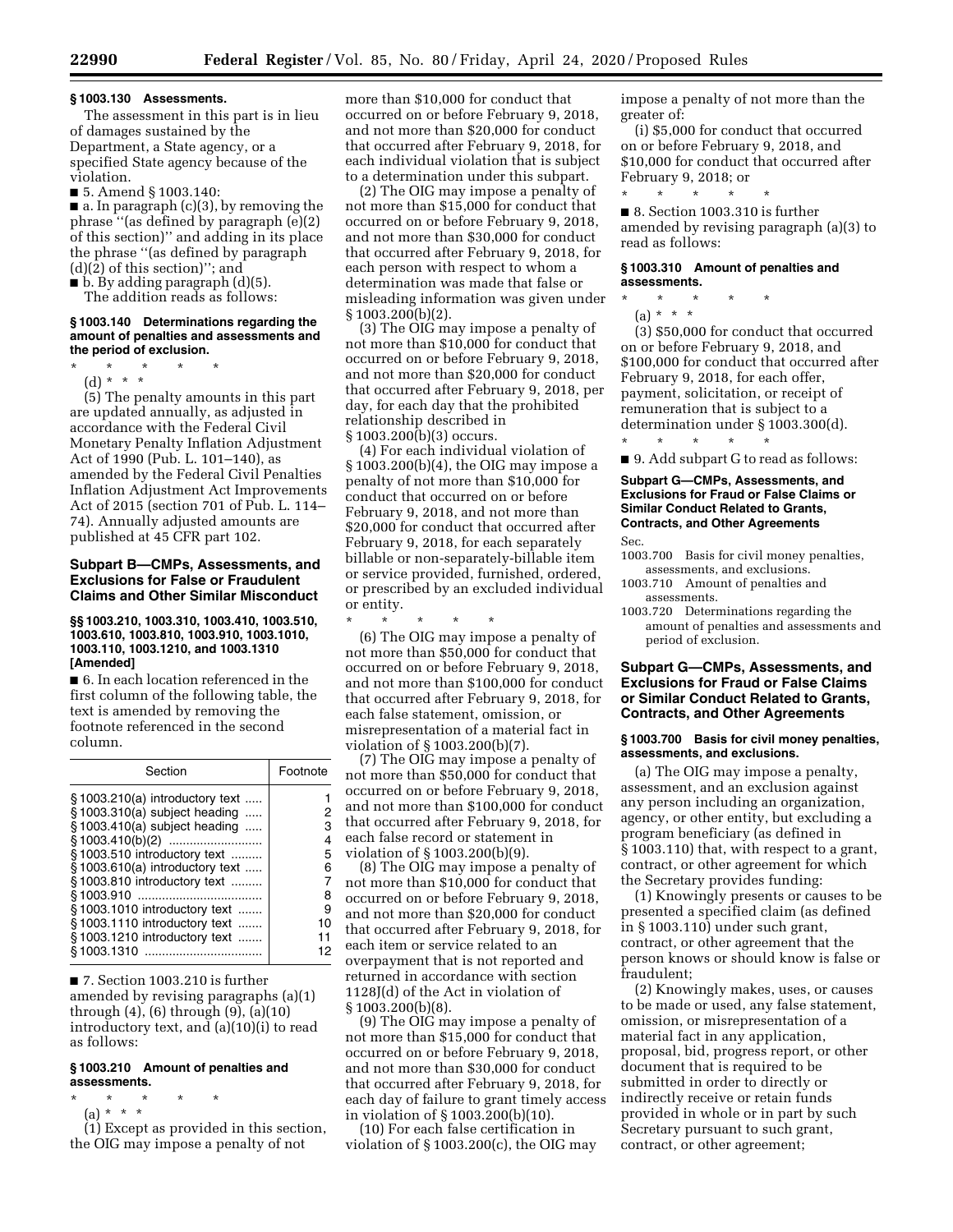# **§ 1003.130 Assessments.**

The assessment in this part is in lieu of damages sustained by the Department, a State agency, or a specified State agency because of the violation.

■ 5. Amend § 1003.140:

■ a. In paragraph (c)(3), by removing the phrase ''(as defined by paragraph (e)(2) of this section)'' and adding in its place the phrase ''(as defined by paragraph (d)(2) of this section)''; and

 $\blacksquare$  b. By adding paragraph  $(d)(5)$ .

The addition reads as follows:

#### **§ 1003.140 Determinations regarding the amount of penalties and assessments and the period of exclusion.**

- \* \* \* \* \*
- (d) \* \* \*

(5) The penalty amounts in this part are updated annually, as adjusted in accordance with the Federal Civil Monetary Penalty Inflation Adjustment Act of 1990 (Pub. L. 101–140), as amended by the Federal Civil Penalties Inflation Adjustment Act Improvements Act of 2015 (section 701 of Pub. L. 114– 74). Annually adjusted amounts are published at 45 CFR part 102.

## **Subpart B—CMPs, Assessments, and Exclusions for False or Fraudulent Claims and Other Similar Misconduct**

## **§§ 1003.210, 1003.310, 1003.410, 1003.510, 1003.610, 1003.810, 1003.910, 1003.1010, 1003.110, 1003.1210, and 1003.1310 [Amended]**

■ 6. In each location referenced in the first column of the following table, the text is amended by removing the footnote referenced in the second column.

| Footnote |
|----------|
|          |
|          |
| з        |
|          |
| 5        |
| ิค       |
|          |
| 8        |
| 9        |
| 10       |
| 11       |
| 12       |
|          |

■ 7. Section 1003.210 is further amended by revising paragraphs (a)(1) through (4), (6) through (9), (a)(10) introductory text, and (a)(10)(i) to read as follows:

# **§ 1003.210 Amount of penalties and assessments.**

# \* \* \* \* \*

(a) \* \* \*

(1) Except as provided in this section, the OIG may impose a penalty of not

more than \$10,000 for conduct that occurred on or before February 9, 2018, and not more than \$20,000 for conduct that occurred after February 9, 2018, for each individual violation that is subject to a determination under this subpart.

(2) The OIG may impose a penalty of not more than \$15,000 for conduct that occurred on or before February 9, 2018, and not more than \$30,000 for conduct that occurred after February 9, 2018, for each person with respect to whom a determination was made that false or misleading information was given under § 1003.200(b)(2).

(3) The OIG may impose a penalty of not more than \$10,000 for conduct that occurred on or before February 9, 2018, and not more than \$20,000 for conduct that occurred after February 9, 2018, per day, for each day that the prohibited relationship described in § 1003.200(b)(3) occurs.

(4) For each individual violation of § 1003.200(b)(4), the OIG may impose a penalty of not more than \$10,000 for conduct that occurred on or before February 9, 2018, and not more than \$20,000 for conduct that occurred after February 9, 2018, for each separately billable or non-separately-billable item or service provided, furnished, ordered, or prescribed by an excluded individual or entity.

\* \* \* \* \* (6) The OIG may impose a penalty of not more than \$50,000 for conduct that occurred on or before February 9, 2018, and not more than \$100,000 for conduct that occurred after February 9, 2018, for each false statement, omission, or misrepresentation of a material fact in violation of § 1003.200(b)(7).

(7) The OIG may impose a penalty of not more than \$50,000 for conduct that occurred on or before February 9, 2018, and not more than \$100,000 for conduct that occurred after February 9, 2018, for each false record or statement in violation of § 1003.200(b)(9).

(8) The OIG may impose a penalty of not more than \$10,000 for conduct that occurred on or before February 9, 2018, and not more than \$20,000 for conduct that occurred after February 9, 2018, for each item or service related to an overpayment that is not reported and returned in accordance with section 1128J(d) of the Act in violation of § 1003.200(b)(8).

(9) The OIG may impose a penalty of not more than \$15,000 for conduct that occurred on or before February 9, 2018, and not more than \$30,000 for conduct that occurred after February 9, 2018, for each day of failure to grant timely access in violation of § 1003.200(b)(10).

(10) For each false certification in violation of § 1003.200(c), the OIG may impose a penalty of not more than the greater of:

(i) \$5,000 for conduct that occurred on or before February 9, 2018, and \$10,000 for conduct that occurred after February 9, 2018; or

\* \* \* \* \*

■ 8. Section 1003.310 is further amended by revising paragraph (a)(3) to read as follows:

## **§ 1003.310 Amount of penalties and assessments.**

- \* \* \* \* \*
	- (a) \* \* \*

(3) \$50,000 for conduct that occurred on or before February 9, 2018, and \$100,000 for conduct that occurred after February 9, 2018, for each offer, payment, solicitation, or receipt of remuneration that is subject to a determination under § 1003.300(d). \* \* \* \* \*

■ 9. Add subpart G to read as follows:

# **Subpart G—CMPs, Assessments, and Exclusions for Fraud or False Claims or Similar Conduct Related to Grants, Contracts, and Other Agreements**

Sec.

- 1003.700 Basis for civil money penalties, assessments, and exclusions.
- 1003.710 Amount of penalties and assessments.
- 1003.720 Determinations regarding the amount of penalties and assessments and period of exclusion.

# **Subpart G—CMPs, Assessments, and Exclusions for Fraud or False Claims or Similar Conduct Related to Grants, Contracts, and Other Agreements**

### **§ 1003.700 Basis for civil money penalties, assessments, and exclusions.**

(a) The OIG may impose a penalty, assessment, and an exclusion against any person including an organization, agency, or other entity, but excluding a program beneficiary (as defined in § 1003.110) that, with respect to a grant, contract, or other agreement for which the Secretary provides funding:

(1) Knowingly presents or causes to be presented a specified claim (as defined in § 1003.110) under such grant, contract, or other agreement that the person knows or should know is false or fraudulent;

(2) Knowingly makes, uses, or causes to be made or used, any false statement, omission, or misrepresentation of a material fact in any application, proposal, bid, progress report, or other document that is required to be submitted in order to directly or indirectly receive or retain funds provided in whole or in part by such Secretary pursuant to such grant, contract, or other agreement;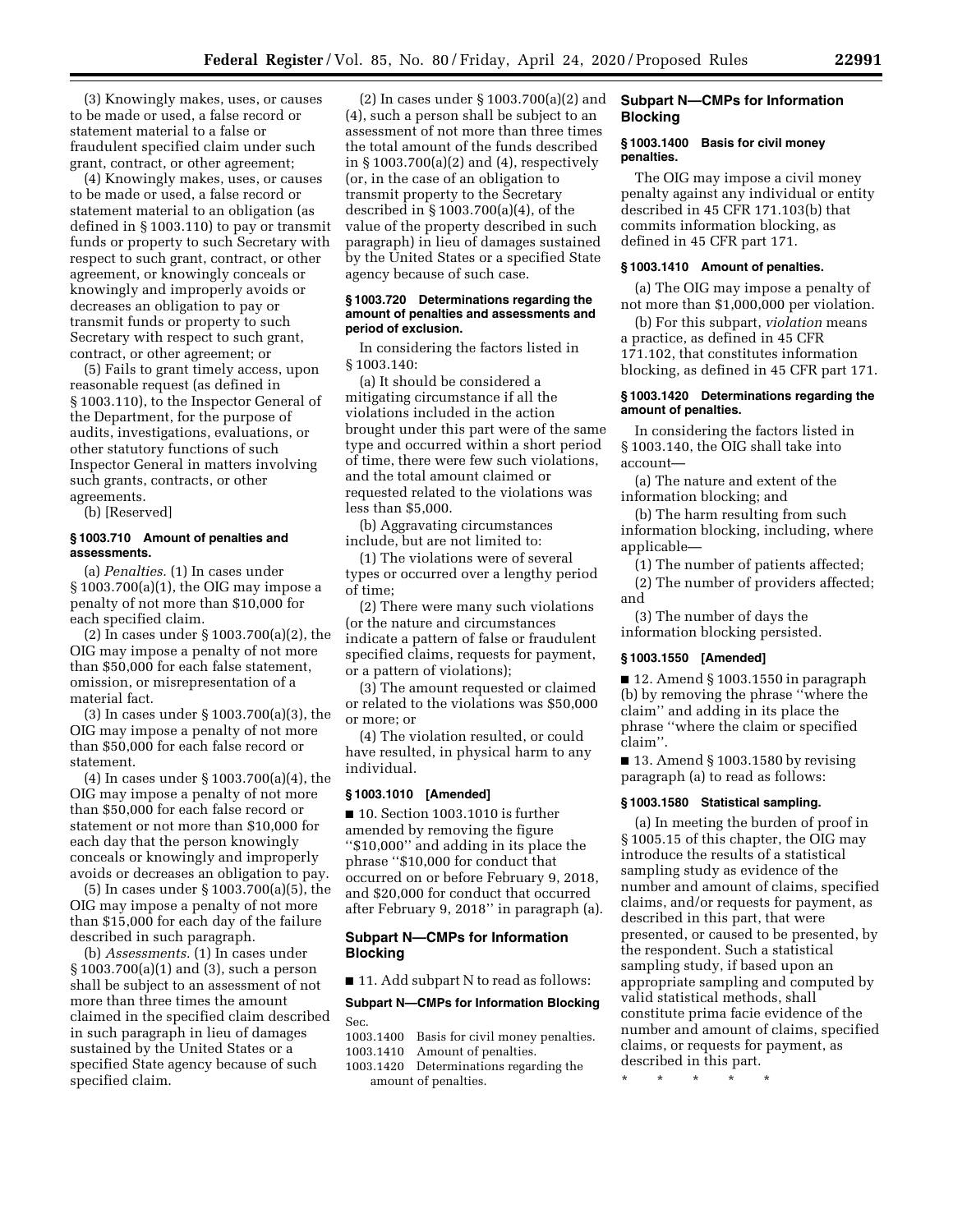(3) Knowingly makes, uses, or causes to be made or used, a false record or statement material to a false or fraudulent specified claim under such grant, contract, or other agreement;

(4) Knowingly makes, uses, or causes to be made or used, a false record or statement material to an obligation (as defined in § 1003.110) to pay or transmit funds or property to such Secretary with respect to such grant, contract, or other agreement, or knowingly conceals or knowingly and improperly avoids or decreases an obligation to pay or transmit funds or property to such Secretary with respect to such grant, contract, or other agreement; or

(5) Fails to grant timely access, upon reasonable request (as defined in § 1003.110), to the Inspector General of the Department, for the purpose of audits, investigations, evaluations, or other statutory functions of such Inspector General in matters involving such grants, contracts, or other agreements.

(b) [Reserved]

## **§ 1003.710 Amount of penalties and assessments.**

(a) *Penalties.* (1) In cases under § 1003.700(a)(1), the OIG may impose a penalty of not more than \$10,000 for each specified claim.

(2) In cases under § 1003.700(a)(2), the OIG may impose a penalty of not more than \$50,000 for each false statement, omission, or misrepresentation of a material fact.

(3) In cases under § 1003.700(a)(3), the OIG may impose a penalty of not more than \$50,000 for each false record or statement.

(4) In cases under § 1003.700(a)(4), the OIG may impose a penalty of not more than \$50,000 for each false record or statement or not more than \$10,000 for each day that the person knowingly conceals or knowingly and improperly avoids or decreases an obligation to pay.

(5) In cases under § 1003.700(a)(5), the OIG may impose a penalty of not more than \$15,000 for each day of the failure described in such paragraph.

(b) *Assessments.* (1) In cases under § 1003.700(a)(1) and (3), such a person shall be subject to an assessment of not more than three times the amount claimed in the specified claim described in such paragraph in lieu of damages sustained by the United States or a specified State agency because of such specified claim.

(2) In cases under § 1003.700(a)(2) and (4), such a person shall be subject to an assessment of not more than three times the total amount of the funds described in § 1003.700(a)(2) and (4), respectively (or, in the case of an obligation to transmit property to the Secretary described in § 1003.700(a)(4), of the value of the property described in such paragraph) in lieu of damages sustained by the United States or a specified State agency because of such case.

### **§ 1003.720 Determinations regarding the amount of penalties and assessments and period of exclusion.**

In considering the factors listed in § 1003.140:

(a) It should be considered a mitigating circumstance if all the violations included in the action brought under this part were of the same type and occurred within a short period of time, there were few such violations, and the total amount claimed or requested related to the violations was less than \$5,000.

(b) Aggravating circumstances include, but are not limited to:

(1) The violations were of several types or occurred over a lengthy period of time;

(2) There were many such violations (or the nature and circumstances indicate a pattern of false or fraudulent specified claims, requests for payment, or a pattern of violations);

(3) The amount requested or claimed or related to the violations was \$50,000 or more; or

(4) The violation resulted, or could have resulted, in physical harm to any individual.

### **§ 1003.1010 [Amended]**

■ 10. Section 1003.1010 is further amended by removing the figure ''\$10,000'' and adding in its place the phrase ''\$10,000 for conduct that occurred on or before February 9, 2018, and \$20,000 for conduct that occurred after February 9, 2018'' in paragraph (a).

# **Subpart N—CMPs for Information Blocking**

■ 11. Add subpart N to read as follows:

# **Subpart N—CMPs for Information Blocking**  Sec.

1003.1400 Basis for civil money penalties.

1003.1410 Amount of penalties.

1003.1420 Determinations regarding the amount of penalties.

# **Subpart N—CMPs for Information Blocking**

#### **§ 1003.1400 Basis for civil money penalties.**

The OIG may impose a civil money penalty against any individual or entity described in 45 CFR 171.103(b) that commits information blocking, as defined in 45 CFR part 171.

# **§ 1003.1410 Amount of penalties.**

(a) The OIG may impose a penalty of not more than \$1,000,000 per violation.

(b) For this subpart, *violation* means a practice, as defined in 45 CFR 171.102, that constitutes information blocking, as defined in 45 CFR part 171.

# **§ 1003.1420 Determinations regarding the amount of penalties.**

In considering the factors listed in § 1003.140, the OIG shall take into account—

(a) The nature and extent of the information blocking; and

(b) The harm resulting from such information blocking, including, where applicable—

(1) The number of patients affected;

(2) The number of providers affected; and

(3) The number of days the information blocking persisted.

# **§ 1003.1550 [Amended]**

■ 12. Amend § 1003.1550 in paragraph (b) by removing the phrase ''where the claim'' and adding in its place the phrase ''where the claim or specified claim''.

■ 13. Amend § 1003.1580 by revising paragraph (a) to read as follows:

## **§ 1003.1580 Statistical sampling.**

(a) In meeting the burden of proof in § 1005.15 of this chapter, the OIG may introduce the results of a statistical sampling study as evidence of the number and amount of claims, specified claims, and/or requests for payment, as described in this part, that were presented, or caused to be presented, by the respondent. Such a statistical sampling study, if based upon an appropriate sampling and computed by valid statistical methods, shall constitute prima facie evidence of the number and amount of claims, specified claims, or requests for payment, as described in this part.

\* \* \* \* \*